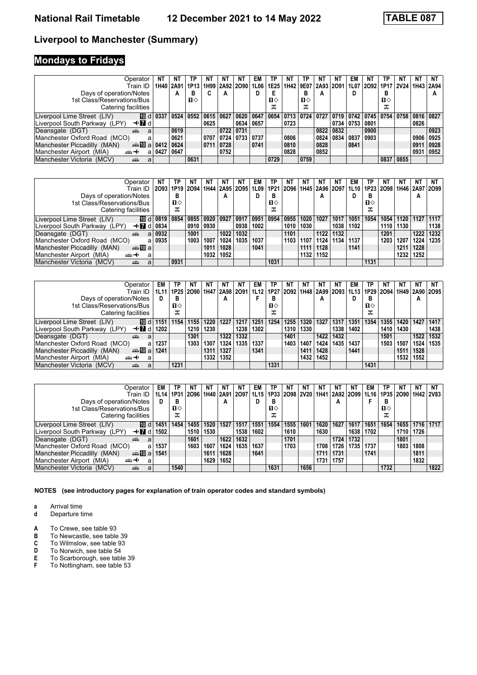# **Mondays to Fridays**

| Operator                                               | ΝT   | NT        | ΤP   | ΝT        | ΝT        | NΤ        | EM        | ТР   | NT   | ТP           | N1        | N1   | EM        | N1   | ΤP                           | NT          | NΤ   | NT   |
|--------------------------------------------------------|------|-----------|------|-----------|-----------|-----------|-----------|------|------|--------------|-----------|------|-----------|------|------------------------------|-------------|------|------|
| Train ID                                               |      | 1H40 2A91 | 1P13 | 1H99      | 2A92 2O90 |           | 1L06      | 1E25 | 1H42 | 9E07         | 2A93 2O91 |      |           |      | 1L07 2O92 1P17               | <b>2V24</b> | 1H43 | 2A94 |
| Days of operation/Notes                                |      | А         | в    |           | А         |           |           |      |      | в            | A         |      | D         |      | D<br>в                       |             |      | А    |
| 1st Class/Reservations/Bus                             |      |           | п⇔   |           |           |           |           | п⇔   |      | $\mathbf{n}$ |           |      |           |      | $\mathbf{n}$                 |             |      |      |
| Catering facilities                                    |      |           |      |           |           |           |           | ᠼ    |      | ᅚ            |           |      |           |      | ᠼ                            |             |      |      |
| 100 dl<br>Liverpool Lime Street (LIV)                  | 0337 | 0524      | 0552 | 0615 0627 |           | 0620 0647 |           | 0654 | 0713 | 0724         | 0727      | 0719 |           |      | $0742$ $0745$ $0754$ $\vert$ | 0758        | 0816 | 0827 |
| Liverpool South Parkway (LPY)<br>—tridi                |      |           |      | 0625      |           |           | 0634 0657 |      | 0723 |              |           | 0734 | 0753 0801 |      |                              |             | 0826 |      |
| Deansgate (DGT)<br>din 1<br>a                          |      | 0619      |      |           |           | 0722 0731 |           |      |      |              | 0822      | 0832 |           | 0900 |                              |             |      | 0923 |
| Manchester Oxford Road (MCO)<br>a                      |      | 0621      |      | 0707      | 0724      | 0733 0737 |           |      | 0806 |              | 0824      | 0834 | 0837      | 0903 |                              |             | 0906 | 0925 |
| Manchester Piccadilly (MAN)<br>da <b>T</b> ual         | 0412 | 0624      |      | 0711      | 0728      |           | 0741      |      | 0810 |              | 0828      |      | 0841      |      |                              |             | 0911 | 0928 |
| Manchester Airport (MIA)<br>ക+<br>a                    | 042i | 0647      |      |           | 0752      |           |           |      | 0828 |              | 0852      |      |           |      |                              |             | 0931 | 0952 |
| Manchester Victoria<br>(MCV)<br><b>The Second</b><br>a |      |           | 0631 |           |           |           |           | 0729 |      | 0759         |           |      |           |      | 0837                         | 0855        |      |      |

| Operator                                                         |      | TP   | NΤ   | ΝT        | NT                            | NΤ   | EM   | ТP   | ΝT   | NΤ   | NT                 | N1   | EM   | ТP   | NT        | NT   | NΤ        | NT     |
|------------------------------------------------------------------|------|------|------|-----------|-------------------------------|------|------|------|------|------|--------------------|------|------|------|-----------|------|-----------|--------|
| Train ID                                                         | 2093 |      |      |           | 1P19 2094 1H44 2A95 2095 1L09 |      |      | 1P21 | 2096 |      | 1H45   2A96   2O97 |      | 1L10 |      | 1P23 2098 |      | 1H46 2A97 | ′⊺2O99 |
| Days of operation/Notes                                          |      | в    |      |           | А                             |      |      | в    |      |      | A                  |      | D    | в    |           |      | A         |        |
| 1st Class/Reservations/Bus                                       |      | п⇔   |      |           |                               |      |      | п⇔   |      |      |                    |      |      | п⇔   |           |      |           |        |
| Catering facilities                                              |      | ᠼ    |      |           |                               |      |      | ᠼ    |      |      |                    |      |      | ᠼ    |           |      |           |        |
| <b>ID</b> d<br>Liverpool Lime Street (LIV)                       | 0819 | 0854 | 0855 | 0920 0927 |                               | 0917 | 0951 | 0954 | 0955 | 1020 | 1027               | 1017 | 1051 | 1054 | 1054      | 1120 | 1127      | 1117   |
| Liverpool South Parkway (LPY)<br>—tridi                          | 0834 |      | 0910 | 0930      |                               | 0938 | 1002 |      | 1010 | 1030 |                    | 1038 | 1102 |      | 1110      | 1130 |           | 1138   |
| Deansgate (DGT)<br>۵Ë<br>a                                       | 0932 |      | 1001 |           | 1022                          | 1032 |      |      | 1101 |      | 1122               | 1132 |      |      | 1201      |      | 1222      | 1232   |
| Manchester Oxford Road (MCO)<br>a                                | 0935 |      | 1003 | 1007      | 1024                          | 1035 | 1037 |      | 1103 | 1107 | 1124               | 1134 | 1137 |      | 1203      | 1207 | 1224      | 1235   |
| Manchester Piccadilly (MAN)<br>dan <mark>ma</mark> n <b>D</b> ia |      |      |      | 1011      | 1028                          |      | 1041 |      |      | 1111 | 1128               |      | 1141 |      |           | 1211 | 1228      |        |
| Manchester Airport (MIA)<br><br>a                                |      |      |      | 1032      | 1052                          |      |      |      |      | 1132 | 1152               |      |      |      |           | 1232 | 1252      |        |
| Manchester Victoria (MCV)<br>æ<br>a                              |      | 0931 |      |           |                               |      |      | 1031 |      |      |                    |      |      | 1131 |           |      |           |        |

| Operator                                        | EM   | ΤP   | NT   | ΝT   | NT   | NΤ   | EM   | ТP           | NT                                                       | NT   | NT   | N1   | EM       | ТP   | NΤ        | NΤ   | <b>NT</b>      | NT   |
|-------------------------------------------------|------|------|------|------|------|------|------|--------------|----------------------------------------------------------|------|------|------|----------|------|-----------|------|----------------|------|
| Train ID                                        | 1L11 |      |      |      |      |      |      |              | 1P25 2O90 1H47 2A98 2O91 1L12 1P27 2O92 1H48 2A99 2O93 1 |      |      |      | ' 1L13 I |      | 1P29 2O94 |      | 1H49 2A90 2O95 |      |
| Days of operation/Notes                         | D    | в    |      |      | А    |      |      | в            |                                                          |      | А    |      | D        | в    |           |      | A              |      |
| 1st Class/Reservations/Bus                      |      | п⇔   |      |      |      |      |      | $\mathbf{u}$ |                                                          |      |      |      |          | п⇔   |           |      |                |      |
| Catering facilities                             |      | ᠼ    |      |      |      |      |      | ᠼ            |                                                          |      |      |      |          | ᠼ    |           |      |                |      |
| 10 dl<br>Liverpool Lime Street (LIV)            | 1151 | 1154 | 1155 | 1220 | 1227 | 1217 | 1251 | 1254         | 1255                                                     | 1320 | 1327 | 1317 | 1351     | 1354 | 1355      | 1420 | 1427           | 1417 |
| Liverpool South Parkway (LPY)<br>—tridi         | 1202 |      | 1210 | 1230 |      | 1238 | 1302 |              | 1310                                                     | 1330 |      | 1338 | 1402     |      | 1410      | 1430 |                | 1438 |
| Deansgate (DGT)<br>پیشته<br>a                   |      |      | 1301 |      | 1322 | 1332 |      |              | 1401                                                     |      | 1422 | 1432 |          |      | 1501      |      | 1522           | 1532 |
| Manchester Oxford Road (MCO)<br>a               | 1237 |      | 1303 | 1307 | 1324 | 1335 | 1337 |              | 1403                                                     | 1407 | 1424 | 1435 | 1437     |      | 1503      | 1507 | 1524           | 1535 |
| Manchester Piccadilly (MAN)<br>da <b>T</b> ual  | 1241 |      |      | 1311 | 1327 |      | 1341 |              |                                                          | 1411 | 1428 |      | 1441     |      |           | 1511 | 1528           |      |
| Manchester Airport (MIA)<br><del>∰∽⊀</del><br>a |      |      |      | 1332 | 1352 |      |      |              |                                                          | 1432 | 1452 |      |          |      |           | 1532 | 1552           |      |
| Manchester Victoria (MCV)<br>añ,                |      | 1231 |      |      |      |      |      | 1331         |                                                          |      |      |      |          | 1431 |           |      |                |      |

| Operator                                                                                                                                                                                                                                                        | EM   | TP.  | ΝT   | ΝT        | NΤ   | NΤ   | EM          | ΤP   | ΝT   | N1             | ΝT   | NΤ             | NΤ   | EM   | ТP           | N1        | ΝT          | NΤ   |
|-----------------------------------------------------------------------------------------------------------------------------------------------------------------------------------------------------------------------------------------------------------------|------|------|------|-----------|------|------|-------------|------|------|----------------|------|----------------|------|------|--------------|-----------|-------------|------|
| Train ID                                                                                                                                                                                                                                                        | 1L14 | 1P31 | 2096 | 1H40 2A91 |      | 2097 | <b>1L15</b> |      |      | 1P33 2O98 2V20 |      | 1H41 2A92 2O99 |      | 1L16 |              | 1P35 2090 | 1H42   2V83 |      |
| Days of operation/Notes                                                                                                                                                                                                                                         | D    | в    |      |           | А    |      |             | в    |      |                |      | А              |      |      | в            |           |             |      |
| 1st Class/Reservations/Bus                                                                                                                                                                                                                                      |      | п⇔   |      |           |      |      |             | п⇔   |      |                |      |                |      |      | $\mathbf{n}$ |           |             |      |
| Catering facilities                                                                                                                                                                                                                                             |      | ᠼ    |      |           |      |      |             | ᠼ    |      |                |      |                |      |      | ᠼ            |           |             |      |
| 100 dl<br>Liverpool Lime Street (LIV)                                                                                                                                                                                                                           | 1451 | 1454 | 1455 | 1520      | 1527 | 1517 | 1551        | 1554 | 1555 | 1601           | 1620 | 1627           | 1617 | 1651 | 1654         | 1655      | 1716 1717   |      |
| Liverpool South Parkway (LPY)<br>—tridi                                                                                                                                                                                                                         | 1502 |      | 1510 | 1530      |      | 1538 | 1602        |      | 1610 |                | 1630 |                | 1638 | 1702 |              | 1710      | 1726        |      |
| Deansgate (DGT)<br>بیشته<br>a                                                                                                                                                                                                                                   |      |      | 1601 |           | 1622 | 1632 |             |      | 1701 |                |      | 1724           | 1732 |      |              | 1801      |             |      |
| Manchester Oxford Road (MCO)<br>a                                                                                                                                                                                                                               | 1537 |      | 1603 | 1607      | 1624 | 1635 | 1637        |      | 1703 |                | 1708 | 1726           | 1735 | 1737 |              | 1803      | 1808        |      |
| Manchester Piccadilly (MAN)<br>da <b>T</b> ual                                                                                                                                                                                                                  | 1541 |      |      | 1611      | 1628 |      | 1641        |      |      |                | 1711 | 1731           |      | 1741 |              |           | 1811        |      |
| Manchester Airport (MIA)<br><br>a                                                                                                                                                                                                                               |      |      |      | 1629      | 1652 |      |             |      |      |                | 1731 | 1757           |      |      |              |           | 1832        |      |
| Manchester Victoria (MCV)<br>and the second second second second the second second second second second second second second second second second second second second second second second second second second second second second second second second<br>a |      | 1540 |      |           |      |      |             | 1631 |      | 1656           |      |                |      |      | 1732         |           |             | 1822 |

**NOTES (see introductory pages for explanation of train operator codes and standard symbols)**

**a** Arrival time<br>**d** Departure t

- 
- **A** To Crewe, see table 93<br>**B** To Newcastle, see table<br>**C** To Wilmslow, see table To Newcastle, see table 39
- **C** To Wilmslow, see table 93<br>**D** To Norwich, see table 54
- **D** To Norwich, see table 54<br>**E** To Scarborough, see table
- **E** To Scarborough, see table 39<br>**F** To Nottingham, see table 53 To Nottingham, see table 53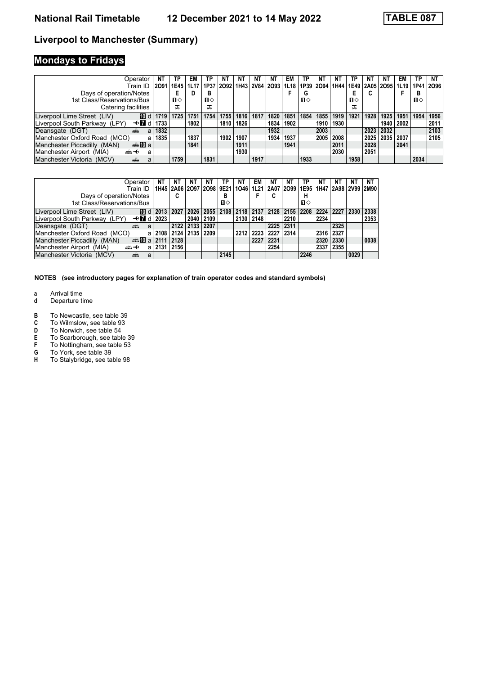# **Mondays to Fridays**

| Operator                                                    | NT   | ТP   | EM   | ΤP   | NT   | NT   | NT   | ΝT                        | EM   | ΤP           | NΤ             | ΝI   | ΤP   | ΝT   | ΝT   | EM             | TP   | NΤ   |
|-------------------------------------------------------------|------|------|------|------|------|------|------|---------------------------|------|--------------|----------------|------|------|------|------|----------------|------|------|
| Train ID                                                    | 2091 | 1E45 | 1L17 | 1P37 |      |      |      | 2092   1H43   2V84   2O93 | 1L18 |              | 1P39 2O94 1H44 |      | 1E49 |      |      | 2A05 2O95 1L19 | 1P41 | 2096 |
| Days of operation/Notes                                     |      |      |      | в    |      |      |      |                           |      | G            |                |      |      |      |      |                | в    |      |
| 1st Class/Reservations/Bus                                  |      | п⇔   |      | п⇔   |      |      |      |                           |      | $\mathbf{n}$ |                |      | п⇔   |      |      |                | п⇔   |      |
| Catering facilities                                         |      | ᠼ    |      | ᠼ    |      |      |      |                           |      |              |                |      | ᠼ    |      |      |                |      |      |
| 100 dl<br>Liverpool Lime Street (LIV)                       | 1719 | 1725 | 1751 | 1754 | 1755 | 1816 | 1817 | 1820                      | 1851 | 1854         | 1855           | 1919 | 1921 | 1928 | 1925 | 1951           | 1954 | 1956 |
| Liverpool South Parkway (LPY)<br>$\triangleleft$ 7 d   1733 |      |      | 1802 |      | 1810 | 1826 |      | 1834                      | 1902 |              | 1910           | 1930 |      |      | 1940 | 2002           |      | 2011 |
| Deansgate (DGT)<br>and a series<br>a                        | 1832 |      |      |      |      |      |      | 1932                      |      |              | 2003           |      |      | 2023 | 2032 |                |      | 2103 |
| Manchester Oxford Road (MCO)<br>a                           | 1835 |      | 1837 |      | 1902 | 1907 |      | 1934                      | 1937 |              | 2005           | 2008 |      | 2025 | 2035 | 2037           |      | 2105 |
| Manchester Piccadilly (MAN)<br>dan <b>in</b> al             |      |      | 1841 |      |      | 1911 |      |                           | 1941 |              |                | 2011 |      | 2028 |      | 2041           |      |      |
| Manchester Airport (MIA)<br>ക+<br>a                         |      |      |      |      |      | 1930 |      |                           |      |              |                | 2030 |      | 2051 |      |                |      |      |
| Manchester Victoria<br>(MCV)<br>پېښ<br>a                    |      | 1759 |      | 1831 |      |      | 1917 |                           |      | 1933         |                |      | 1958 |      |      |                | 2034 |      |

| Operator                                                  | NΤ | ΝT                 | NΤ   | ΝT                        | ΤP   | ΝT        | EM   | NΤ                                             | ΝT             |      | NΤ        | ΝT   | NΤ   | ΝT   |
|-----------------------------------------------------------|----|--------------------|------|---------------------------|------|-----------|------|------------------------------------------------|----------------|------|-----------|------|------|------|
| Train ID                                                  |    | 1H45   2A06   2O97 |      | 2O98   9E21   1O46   1L21 |      |           |      | 2A07   2O99   1E95   1H47   2A98   2V99   2M90 |                |      |           |      |      |      |
| Days of operation/Notes                                   |    | ◠<br>c             |      |                           | B    |           |      | C                                              |                |      |           |      |      |      |
| 1st Class/Reservations/Bus                                |    |                    |      |                           | п⇔   |           |      |                                                |                | п⇔   |           |      |      |      |
| Liverpool Lime Street (LIV)                               |    | 2027               | 2026 | 2055 2108                 |      | 2118 2137 |      | 2128                                           | 2155 2208      |      | 2224 2227 |      | 2330 | 2338 |
| Liverpool South Parkway (LPY)<br>$\triangleleft$ 7 d 2023 |    |                    | 2040 | 2109                      |      | 2130 2148 |      |                                                | 2210           |      | 2234      |      |      | 2353 |
| Deansgate (DGT)<br>a<br>amin                              |    | 2122 2133          |      | 2207                      |      |           |      | 2225                                           | 2311           |      |           | 2325 |      |      |
| Manchester Oxford Road (MCO)<br>a                         |    | 2108 2124 2135     |      | 2209                      |      | 2212      | 2223 | 2227                                           | $ 2314\rangle$ |      | 2316      | 2327 |      |      |
| Manchester Piccadilly (MAN)<br>den 10 a 2111   2128       |    |                    |      |                           |      |           | 2227 | 2231                                           |                |      | 2320      | 2330 |      | 0038 |
| Manchester Airport (MIA)<br><del>∰ ∢</del><br>al          |    | 2131   2156        |      |                           |      |           |      | 2254                                           |                |      | 2337      | 2355 |      |      |
| Manchester Victoria (MCV)<br>۵Ť۵<br>а                     |    |                    |      |                           | 2145 |           |      |                                                |                | 2246 |           |      | 0029 |      |

- **a** Arrival time<br>**d** Departure t
- **d** Departure time
- **B** To Newcastle, see table 39<br>**C** To Wilmslow, see table 93
- **C** To Wilmslow, see table 93<br>**D** To Norwich, see table 54
- **D** To Norwich, see table 54<br>**E** To Scarborough, see table
- E To Scarborough, see table 39<br> **F** To Nottingham, see table 53<br> **G** To York, see table 39
- To Nottingham, see table 53
- **6** To York, see table 39<br>**H** To Stalybridge, see ta
- To Stalybridge, see table 98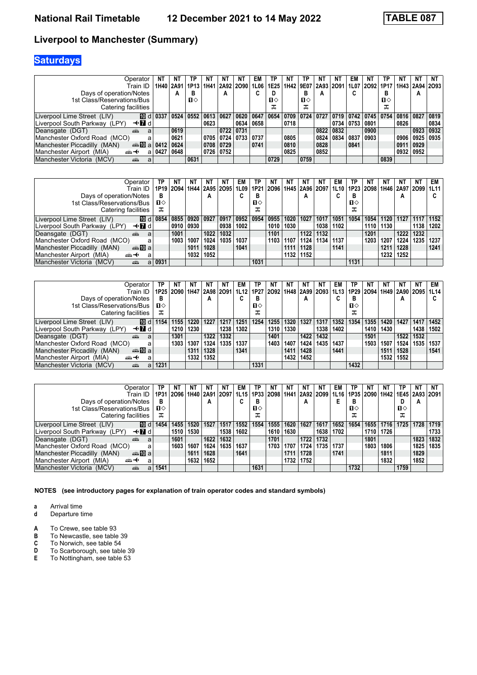# **Saturdays**

| Operator                                               |      | NT        | ТP             |           | NT                        | <b>NT</b> | EM   | ТP   | NT   | ТP           | ΝI        | N1   | EM                        | N1        | ΤP   | NT        | NΤ   | NT             |
|--------------------------------------------------------|------|-----------|----------------|-----------|---------------------------|-----------|------|------|------|--------------|-----------|------|---------------------------|-----------|------|-----------|------|----------------|
| Train ID                                               |      | 1H40 2A91 |                |           | 1P13   1H41   2A92   2O90 |           | 1L06 | 1E25 | 1H42 | 9E07         | 2A93 2O91 |      |                           | 1L07 2092 | 1P17 |           |      | 1H43 2A94 2O93 |
| Days of operation/Notes                                |      | А         | в              |           | А                         |           | u    |      |      | в            | А         |      | ◠<br>u                    |           | в    |           | A    |                |
| 1st Class/Reservations/Bus                             |      |           | п⇔             |           |                           |           |      | п⇔   |      | $\mathbf{u}$ |           |      |                           |           | п⇔   |           |      |                |
| Catering facilities                                    |      |           |                |           |                           |           |      | ᠼ    |      | ᠼ            |           |      |                           |           | ᠼ    |           |      |                |
| [10 d<br>Liverpool Lime Street (LIV)                   | 033  | 0524      | $ 0552\rangle$ | 0613 0627 |                           | 0620 0647 |      | 0654 | 0709 | 0724         | 0727      |      | 0719   0742   0745   0754 |           |      | 0816 0827 |      | 0819           |
| —trid<br>Liverpool South Parkway (LPY)                 |      |           |                | 0623      |                           | 0634      | 0658 |      | 0718 |              |           |      | 0734   0753   0801        |           |      | 0826      |      | 0834           |
| Deansgate (DGT)<br>æ<br>a                              |      | 0619      |                |           | 0722 0731                 |           |      |      |      |              | 0822      | 0832 |                           | 0900      |      |           | 0923 | 0932           |
| Manchester Oxford Road (MCO)<br>a                      |      | 0621      |                |           | 0705 0724 0733 0737       |           |      |      | 0805 |              | 0824      | 0834 | 0837                      | 0903      |      | 0906      | 0925 | 0935           |
| Manchester Piccadilly (MAN)<br>da <b>T</b> ual         | 0412 | 0624      |                |           | 0708 0729                 |           | 0741 |      | 0810 |              | 0828      |      | 0841                      |           |      | 091       | 0929 |                |
| Manchester Airport (MIA)<br><br>a                      | 042  | 0648      |                |           | 0726 0752                 |           |      |      | 0825 |              | 0852      |      |                           |           |      | 0932      | 0952 |                |
| Manchester Victoria<br>(MCV)<br><b>The Second</b><br>a |      |           | 0631           |           |                           |           |      | 0729 |      | 0759         |           |      |                           |           | 0839 |           |      |                |

| Operator                                                         | ТР           | NT        | NT        | ΝT   | NT   | EM        | ΤP           | NT.  | NT   | NT                                                           | N1   | EM   | ΤР   | NT        | NT   |                    | NΤ   | EM I |
|------------------------------------------------------------------|--------------|-----------|-----------|------|------|-----------|--------------|------|------|--------------------------------------------------------------|------|------|------|-----------|------|--------------------|------|------|
| Train ID                                                         |              | 1P19 2O94 |           |      |      |           |              |      |      | 1H44   2A95   2O95   1L09   1P21   2O96   1H45   2A96   2O97 |      | 1L10 |      | 1P23 2O98 |      | 1H46   2A97   2O99 |      | 1L11 |
| Days of operation/Notes                                          | в            |           |           | A    |      | u         | в            |      |      | A                                                            |      |      | В    |           |      | A                  |      |      |
| 1st Class/Reservations/Bus                                       | $\mathbf{n}$ |           |           |      |      |           | $\mathbf{u}$ |      |      |                                                              |      |      | п⇔   |           |      |                    |      |      |
| Catering facilities                                              | ᠼ            |           |           |      |      |           | ᠼ            |      |      |                                                              |      |      | ᠼ    |           |      |                    |      |      |
| Liverpool Lime Street (LIV)                                      | ID d 0854    | 0855      | 0920 0927 |      | 0917 | 0952 0954 |              | 0955 | 1020 | 1027                                                         | 1017 | 1051 | 1054 | 1054      | 1120 | 1127               | 1117 | 1152 |
| Liverpool South Parkway (LPY)<br>—tridi                          |              | 0910      | 0930      |      | 0938 | 1002      |              | 1010 | 1030 |                                                              | 1038 | 1102 |      | 1110      | 1130 |                    | 1138 | 1202 |
| Deansgate (DGT)<br>æ<br>a                                        |              | 1001      |           | 1022 | 1032 |           |              | 1101 |      | 1122                                                         | 1132 |      |      | 1201      |      | 1222               | 1232 |      |
| Manchester Oxford Road (MCO)<br>a                                |              | 1003      | 100       | 1024 | 1035 | 1037      |              | 1103 | 1107 | 1124                                                         | 1134 | 1137 |      | 1203      | 1207 | 1224               | 1235 | 1237 |
| Manchester Piccadilly (MAN)<br>dan <mark>ma</mark> n <b>D</b> ia |              |           | 1011      | 1028 |      | 1041      |              |      | 1111 | 1128                                                         |      | 1141 |      |           | 1211 | 1228               |      | 1241 |
| Manchester Airport (MIA)<br><del>∰∽⊀</del><br>а                  |              |           | 1032      | 1052 |      |           |              |      | 1132 | 1152                                                         |      |      |      |           | 1232 | 1252               |      |      |
| Manchester Victoria (MCV)<br>añ,<br>a                            | 0931         |           |           |      |      |           | 1031         |      |      |                                                              |      |      | 1131 |           |      |                    |      |      |

| Operator                                        | ΤP   | ΝT             | NT   | NΤ        | NT   | EM   | ТP        | NT   | NT   | NT                 | NT   | EM   | ГΡ           | ΝT                               |      | ΝT   | ΝT   | EM   |
|-------------------------------------------------|------|----------------|------|-----------|------|------|-----------|------|------|--------------------|------|------|--------------|----------------------------------|------|------|------|------|
| Train ID                                        |      | 1P25 2O90 1H47 |      | 2A98 2O91 |      |      | 1L12 1P27 | 2092 |      | 1H48   2A99   2O93 |      | 1L13 |              | 1P29   2O94   1H49   2A90   2O95 |      |      |      | 1L14 |
| Days of operation/Notes                         | В    |                |      | A         |      | U    | В         |      |      | A                  |      | u    | в            |                                  |      | А    |      |      |
| 1st Class/Reservations/Bus                      | п⇔   |                |      |           |      |      | п⇔        |      |      |                    |      |      | $\mathbf{u}$ |                                  |      |      |      |      |
| Catering facilities                             | ᠼ    |                |      |           |      |      | ᠼ         |      |      |                    |      |      | ᠼ            |                                  |      |      |      |      |
| 10 dl<br>Liverpool Lime Street (LIV)            | 1154 | 1155           | 1220 | 1227      | 1217 | 1251 | 1254      | 1255 | 1320 | 1327               | 1317 | 1352 | 1354         | 1355                             | 1420 | 1427 | 1417 | 1452 |
| Liverpool South Parkway (LPY)<br>—tridi         |      | 1210           | 1230 |           | 1238 | 1302 |           | 1310 | 1330 |                    | 1338 | 1402 |              | 1410                             | 1430 |      | 1438 | 1502 |
| Deansgate (DGT)<br>æ<br>a                       |      | 1301           |      | 1322      | 1332 |      |           | 1401 |      | 1422               | 1432 |      |              | 1501                             |      | 1522 | 1532 |      |
| Manchester Oxford Road (MCO)<br>a               |      | 1303           | 1307 | 1324      | 1335 | 1337 |           | 1403 | 1407 | 1424               | 1435 | 1437 |              | 1503.                            | 1507 | 1524 | 1535 | 1537 |
| Manchester Piccadilly (MAN)<br>da <b>T</b> ual  |      |                | 1311 | 1328      |      | 1341 |           |      | 1411 | 1428               |      | 1441 |              |                                  | 1511 | 1528 |      | 1541 |
| Manchester Airport (MIA)<br><del>∰∽⊀</del><br>a |      |                | 1332 | 1352      |      |      |           |      | 1432 | 1452               |      |      |              |                                  | 1532 | 1552 |      |      |
| Manchester Victoria (MCV)<br>æ<br>a             | 1231 |                |      |           |      |      | 1331      |      |      |                    |      |      | 1432         |                                  |      |      |      |      |

| Operator                                       | TP   | <b>NT</b>                 |      | <b>NT</b> | <b>NT</b> | EM   | TP           | NΤ                 | ΝT   | ΝT        | ΝT   | EM   | ТP   |           | ΝT   | TP.  | <b>NT</b>      | NΤ   |
|------------------------------------------------|------|---------------------------|------|-----------|-----------|------|--------------|--------------------|------|-----------|------|------|------|-----------|------|------|----------------|------|
| Train ID                                       | 1P31 | 2096   1H40   2A91   2O97 |      |           |           |      |              | 1L15   1P33   2O98 | 1H41 | 2A92 2O99 |      | 1L16 |      | 1P35 2O90 | 1H42 |      | 1E45 2A93 2O91 |      |
| Days of operation/Notes                        | в    |                           |      | А         |           |      | в            |                    |      | А         |      |      | в    |           |      | D    | А              |      |
| 1st Class/Reservations/Bus                     | п⇔   |                           |      |           |           |      | $\mathbf{u}$ |                    |      |           |      |      | п⇔   |           |      | п⇔   |                |      |
| Catering facilities                            | ᠼ    |                           |      |           |           |      | ᠼ            |                    |      |           |      |      | ᠼ    |           |      | ᅚ    |                |      |
| [10 d  <br>Liverpool Lime Street (LIV)         | 1454 | 1455                      | 1520 | 1527      | 1517      | 1552 | 1554         | 1555               | 1620 | 1627      | 1617 | 1652 | 1654 | 1655      | 1716 | 1725 | 1728           | 1719 |
| Liverpool South Parkway (LPY)<br>—tridi        |      | 1510                      | 1530 |           | 1538      | 1602 |              | 1610               | 1630 |           | 1638 | 1702 |      | 1710      | 1726 |      |                | 1733 |
| Deansgate (DGT)<br>æ<br>a                      |      | 1601                      |      | 1622      | 1632      |      |              | 1701               |      | 1722      | 1732 |      |      | 1801      |      |      | 1823           | 1832 |
| Manchester Oxford Road (MCO)<br>a              |      | 1603                      | 1607 | 1624      | 1635      | 1637 |              | 1703               | 1707 | 1724      | 1735 | 1737 |      | 1803      | 1806 |      | 1825           | 1835 |
| Manchester Piccadilly (MAN)<br>da <b>T</b> ual |      |                           | 1611 | 1628      |           | 1641 |              |                    | 1711 | 1728      |      | 1741 |      |           | 1811 |      | 1829           |      |
| Manchester Airport (MIA)<br>⇜↞<br>a            |      |                           | 1632 | 1652      |           |      |              |                    | 1732 | 1752      |      |      |      |           | 1832 |      | 1852           |      |
| Manchester Victoria (MCV)<br>پېښ<br>a          | 1541 |                           |      |           |           |      | 1631         |                    |      |           |      |      | 1732 |           |      | 1759 |                |      |

**NOTES (see introductory pages for explanation of train operator codes and standard symbols)**

**a** Arrival time<br>**d** Departure t **d** Departure time

- 
- To Newcastle, see table 39
- **A** To Crewe, see table 93<br>**B** To Newcastle, see table<br>**C** To Norwich, see table 5 **C** To Norwich, see table 54<br>**D** To Scarborough, see table
- **D** To Scarborough, see table 39<br>**E** To Nottingham, see table 53
- To Nottingham, see table 53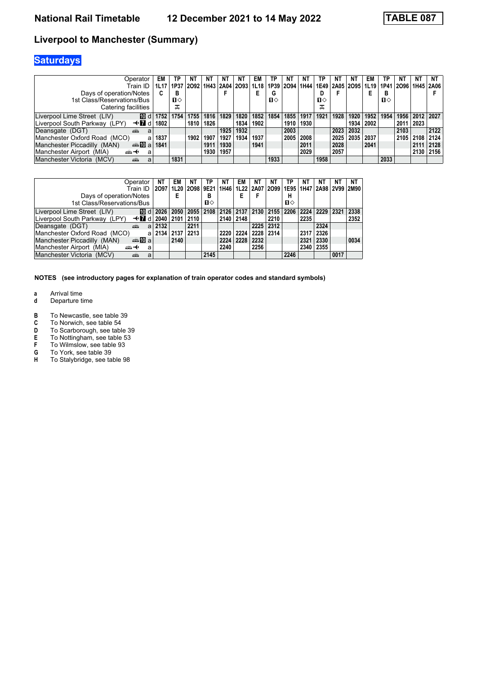# **Saturdays**

| Operator                                | EM   | ΤP   | ΝT                       | <b>NT</b> | NΤ   | NT.  | EM   | ТP   | NT   | N1   | ТP                 | NΤ   | NT        | EM   | ΤР   | ΝT   | ΝT          | NΤ   |
|-----------------------------------------|------|------|--------------------------|-----------|------|------|------|------|------|------|--------------------|------|-----------|------|------|------|-------------|------|
| Train ID                                |      | 1P37 | 2092 1H43 2A04 2093 1L18 |           |      |      |      | 1P39 | 2094 | 1H44 | 1E49   2A05   2O95 |      |           | 1L19 | 1P41 | 2096 | 1H45 2A06   |      |
| Days of operation/Notes                 | C.   | в    |                          |           |      |      |      | G    |      |      | υ                  |      |           |      | в    |      |             |      |
| 1st Class/Reservations/Bus              |      | п⇔   |                          |           |      |      |      | п⇔   |      |      | $\mathbf{u}$       |      |           |      | п⇔   |      |             |      |
| Catering facilities                     |      | ᠼ    |                          |           |      |      |      |      |      |      | ᠼ                  |      |           |      |      |      |             |      |
| 100 dl<br>Liverpool Lime Street (LIV)   | 1752 | 1754 | 1755                     | 1816      | 1829 | 1820 | 1852 | 1854 | 1855 | 1917 | 1921               | 1928 | 1920      | 1952 | 1954 |      | 1956   2012 | 2027 |
| Liverpool South Parkway (LPY)<br>—tridi | 1802 |      | 1810                     | 1826      |      | 1834 | 1902 |      | 1910 | 1930 |                    |      | 1934      | 2002 |      | 2011 | 2023        |      |
| Deansgate (DGT)<br>æ<br>a               |      |      |                          |           | 1925 | 1932 |      |      | 2003 |      |                    |      | 2023 2032 |      |      | 2103 |             | 2122 |
| Manchester Oxford Road (MCO)<br>a       | 1837 |      | 1902                     | 1907      | 1927 | 1934 | 1937 |      | 2005 | 2008 |                    | 2025 | 2035      | 2037 |      | 2105 | 2108        | 2124 |
| Manchester Piccadilly (MAN)<br>dan M⊡al | 1841 |      |                          | 1911      | 1930 |      | 1941 |      |      | 2011 |                    | 2028 |           | 2041 |      |      | 2111        | 2128 |
| Manchester Airport (MIA)<br>ക+<br>a     |      |      |                          | 1930      | 1957 |      |      |      |      | 2029 |                    | 2057 |           |      |      |      | 2130        | 2156 |
| Manchester Victoria (MCV)<br>پیش<br>a   |      | 1831 |                          |           |      |      |      | 1933 |      |      | 1958               |      |           |      | 2033 |      |             |      |

| Operator                                               | NΤ   | EM   | NΤ             | ΤP           | NΤ   | EM        | NT                                                           | ΝT             | ТP   | NΤ   | NΤ   | ΝI   | <b>NT</b> |
|--------------------------------------------------------|------|------|----------------|--------------|------|-----------|--------------------------------------------------------------|----------------|------|------|------|------|-----------|
| Train ID                                               | 2097 |      | 1L20 2098 9E21 |              |      |           | 1H46   1L22   2A07   2O99   1E95   1H47   2A98   2V99   2M90 |                |      |      |      |      |           |
| Days of operation/Notes                                |      | Е    |                | в            |      |           |                                                              |                | н    |      |      |      |           |
| 1st Class/Reservations/Bus                             |      |      |                | $\mathbf{u}$ |      |           |                                                              |                | п⇔   |      |      |      |           |
| Liverpool Lime Street (LIV)<br>10 d l                  | 2026 | 2050 | 2055           | 2108         | 2126 | 2137 2130 |                                                              | 2155           | 2206 | 2224 | 2229 | 2321 | 2338      |
| Liverpool South Parkway (LPY)<br>—trid                 | 2040 | 2101 | 2110           |              | 2140 | 2148      |                                                              | 2210           |      | 2235 |      |      | 2352      |
| Deansgate (DGT)<br>æ<br>a                              | 2132 |      | 2211           |              |      |           | 2225                                                         | $ 2312\rangle$ |      |      | 2324 |      |           |
| Manchester Oxford Road (MCO)<br>a                      | 2134 | 2137 | 2213           |              | 2220 | 2224      | 2228                                                         | 2314           |      | 2317 | 2326 |      |           |
| Manchester Piccadilly (MAN)<br>dan <mark>ma</mark> n⊡a |      | 2140 |                |              | 2224 | 2228      | 2232                                                         |                |      | 2321 | 2330 |      | 0034      |
| Manchester Airport (MIA)<br>⇜↞<br>a                    |      |      |                |              | 2240 |           | 2256                                                         |                |      | 2340 | 2355 |      |           |
| Manchester Victoria (MCV)<br>a<br>æ                    |      |      |                | 2145         |      |           |                                                              |                | 2246 |      |      | 0017 |           |

- **a** Arrival time<br>**d** Departure t
- **d** Departure time
- **B** To Newcastle, see table 39<br>**C** To Norwich, see table 54
- **C** To Norwich, see table 54<br>**D** To Scarborough, see table
- **D** To Scarborough, see table 39<br>**E** To Nottingham, see table 53
- **E** To Nottingham, see table 53<br> **F** To Wilmslow, see table 93<br> **G** To York, see table 39
- To Wilmslow, see table 93
- **6** To York, see table 39<br>**H** To Stalybridge, see ta
- To Stalybridge, see table 98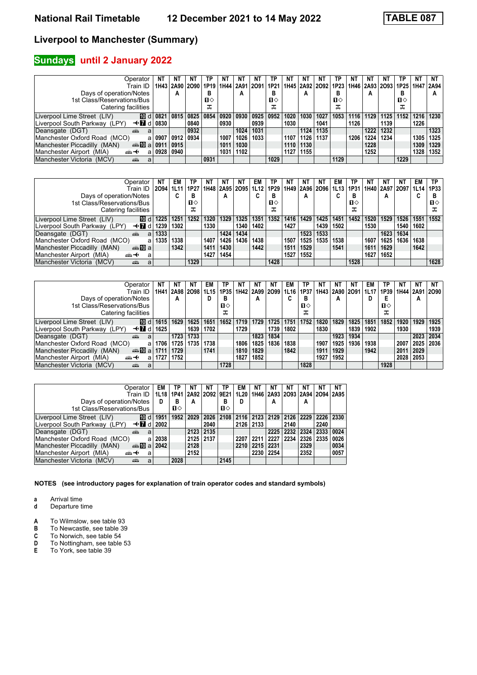### **Sundays** until 2 January 2022

| Operator                                                  | ΝT   | ΝT   | NT                            | ΤP           | NΤ   | NΤ          | N1   | ТP           | NT   | ΝT             | NT   | ΤP               | NT   | N1   | NT             | ΤP        | <b>NT</b> | NT   |
|-----------------------------------------------------------|------|------|-------------------------------|--------------|------|-------------|------|--------------|------|----------------|------|------------------|------|------|----------------|-----------|-----------|------|
| Train ID                                                  | 1H43 |      | 2A90 2O90 1P19 1H44 2A91 2O91 |              |      |             |      | ' 1P21       |      | 1H45 2A92 2O92 |      | 1P <sub>23</sub> |      |      | 1H46 2A93 2O93 | 1P25 1H47 |           | 2A94 |
| Days of operation/Notes                                   |      | A    |                               | в            |      | А           |      | в            |      | А              |      | В                |      | А    |                | в         |           | А    |
| 1st Class/Reservations/Bus                                |      |      |                               | $\mathbf{u}$ |      |             |      | $\mathbf{u}$ |      |                |      | п⇔               |      |      |                | п⇔        |           |      |
| Catering facilities                                       |      |      |                               | ᠼ            |      |             |      | ᠼ            |      |                |      | ᠼ                |      |      |                | ᠼ         |           |      |
| III d 0821<br>Liverpool Lime Street (LIV)                 |      | 0815 | 0825                          | 0854         |      | 0920   0930 | 0925 | 0952         | 1020 | 1030           | 1027 | 1053             | 1116 | 1129 | 1125           | 1152      | 1216      | 1230 |
| Liverpool South Parkway (LPY)<br>$\triangleleft$ 7 d 0830 |      |      | 0840                          |              | 0930 |             | 0939 |              | 1030 |                | 1041 |                  | 1126 |      | 1139           |           | 1226      |      |
| Deansgate (DGT)<br>æ<br>a                                 |      |      | 0932                          |              |      | 1024        | 1031 |              |      | 1124           | 1135 |                  |      | 1222 | 1232           |           |           | 1323 |
| Manchester Oxford Road (MCO)<br>a                         | 0907 | 0912 | 0934                          |              | 1007 | 1026        | 1033 |              | 1107 | 1126           | 1137 |                  | 1206 | 1224 | 1234           |           | 1305      | 1325 |
| Manchester Piccadilly (MAN)<br>an⊪Mal                     | 0911 | 0915 |                               |              | 1011 | 1030        |      |              | 1110 | 1130           |      |                  |      | 1228 |                |           | 1309      | 1329 |
| Manchester Airport (MIA)<br>ക+<br>a                       | 0928 | 0940 |                               |              | 1031 | 1102        |      |              | 1127 | 1155           |      |                  |      | 1252 |                |           | 1328      | 1352 |
| Manchester Victoria<br>(MCV)<br>پېښ<br>a                  |      |      |                               | 0931         |      |             |      | 1029         |      |                |      | 1129             |      |      |                | 1229      |           |      |

| Operator                                                         | NΤ   | EM     | ТP   | NΤ   | NT   | NΤ                  | EM   | TP   | NT   | NT                  | NT   | EM   | TP   | N1   | NT   | NT             | EM   | TP   |
|------------------------------------------------------------------|------|--------|------|------|------|---------------------|------|------|------|---------------------|------|------|------|------|------|----------------|------|------|
| Train ID                                                         | 2094 | 1L11   | 1P27 |      |      | 1H48 2A95 2O95 1L12 |      | 1P29 |      | 1H49 2A96 2O96 1L13 |      |      | 1P31 |      |      | 1H40 2A97 2O97 | 1L14 | 1P33 |
| Days of operation/Notes                                          |      | ◠<br>u | в    |      | А    |                     | u    | в    |      | A                   |      | u    | в    |      | А    |                | ◠    | в    |
| 1st Class/Reservations/Bus                                       |      |        | п⇔   |      |      |                     |      | п⇔   |      |                     |      |      | п⇔   |      |      |                |      | п⇔   |
| Catering facilities                                              |      |        |      |      |      |                     |      | ᠼ    |      |                     |      |      | ᠼ    |      |      |                |      |      |
| <b>ID</b> d<br>Liverpool Lime Street (LIV)                       | 1225 | 1251   | 1252 | 1320 | 1329 | 1325                | 1351 | 1352 | 1416 | 1429                | 1425 | 1451 | 1452 | 1520 | 1529 | 1526           | 1551 | 1552 |
| Liverpool South Parkway (LPY)<br>—tridi                          | 1239 | 1302   |      | 1330 |      | 1340                | 1402 |      | 1427 |                     | 1439 | 1502 |      | 1530 |      | 1540           | 1602 |      |
| Deansgate (DGT)<br>æ<br>a                                        | 1333 |        |      |      | 1424 | 1434                |      |      |      | 1523                | 1533 |      |      |      | 1623 | 1634           |      |      |
| Manchester Oxford Road (MCO)<br>a                                | 1335 | 1338   |      | 1407 | 1426 | 1436                | 1438 |      | 1507 | 1525                | 1535 | 1538 |      | 1607 | 1625 | 1636           | 1638 |      |
| Manchester Piccadilly (MAN)<br>dan <mark>ma</mark> n <b>D</b> ia |      | 1342   |      | 1411 | 1430 |                     | 1442 |      | 1511 | 1529                |      | 1541 |      | 1611 | 1629 |                | 1642 |      |
| Manchester Airport (MIA)<br><br>a                                |      |        |      | 1427 | 1454 |                     |      |      | 1527 | 1552                |      |      |      | 1627 | 1652 |                |      |      |
| Manchester Victoria (MCV)<br>æ<br>a                              |      |        | 1329 |      |      |                     |      | 1428 |      |                     |      |      | 1528 |      |      |                |      | 1628 |

| Operator                                        | NΤ   | NΤ   | N1             | EM   | ΤР   | NT.  | NT   | NT.                       | EM   | ТP   | NT   | NΤ   | NT   | EM                        | ΤP   | ΝT   | <b>NT</b> | NΤ   |
|-------------------------------------------------|------|------|----------------|------|------|------|------|---------------------------|------|------|------|------|------|---------------------------|------|------|-----------|------|
| Train ID                                        | 1H41 |      | 2A98 2O98 1L15 |      |      |      |      | 1P35   1H42   2A99   2O99 | 1L16 | 1P37 |      |      |      | 1H43   2A90   2O91   1L17 | 1P39 |      | 1H44 2A91 | 2090 |
| Days of operation/Notes                         |      | A    |                |      | в    |      | A    |                           |      | в    |      | А    |      |                           |      |      | A         |      |
| 1st Class/Reservations/Bus                      |      |      |                |      | п⇔   |      |      |                           |      | п⇔   |      |      |      |                           | п⇔   |      |           |      |
| Catering facilities                             |      |      |                |      | ملہ  |      |      |                           |      | ᠼ    |      |      |      |                           | ᠼ    |      |           |      |
| 100 dl<br>Liverpool Lime Street (LIV)           | 1615 | 1629 | 1625           | 1651 | 1652 | 1719 | 1729 | 1725                      | 1751 | 1752 | 1820 | 1829 | 1825 | 1851                      | 1852 | 1920 | 1929      | 1925 |
| Liverpool South Parkway (LPY)<br>—tridi         | 1625 |      | 1639           | 1702 |      | 1729 |      | 1739                      | 1802 |      | 1830 |      | 1839 | 1902                      |      | 1930 |           | 1939 |
| Deansgate (DGT)<br>æ<br>a                       |      | 1723 | 1733           |      |      |      | 1823 | 1834                      |      |      |      | 1923 | 1934 |                           |      |      | 2023      | 2034 |
| Manchester Oxford Road (MCO)<br>a               | 1706 | 1725 | 1735           | 1738 |      | 1806 | 1825 | 1836                      | 1838 |      | 1907 | 1925 | 1936 | 1938                      |      | 2007 | 2025 2036 |      |
| Manchester Piccadilly (MAN)<br>dan <b>10</b> al | 1711 | 1729 |                | 1741 |      | 1810 | 1829 |                           | 1842 |      | 1911 | 1929 |      | 1942                      |      | 2011 | 2029      |      |
| Manchester Airport (MIA)<br>⇜↞<br>a             | 1727 | 1752 |                |      |      | 1827 | 1852 |                           |      |      | 1927 | 1952 |      |                           |      |      | 2028 2053 |      |
| Manchester Victoria (MCV)<br>æ<br>a             |      |      |                |      | 1728 |      |      |                           |      | 1828 |      |      |      |                           | 1928 |      |           |      |

| Operator                                        | EM   | TP   | NΤ   | ΝT   | ΤP                  | EM   | NΤ               | NΤ   |                                         |           | ΝT             | NΤ   |
|-------------------------------------------------|------|------|------|------|---------------------|------|------------------|------|-----------------------------------------|-----------|----------------|------|
| Train ID                                        | 1L18 | 1P41 |      |      | 2A92 2O92 9E21 1L20 |      |                  |      | 1H46   2A93   2O93   2A94   2O94   2A95 |           |                |      |
| Days of operation/Notes                         | D    | в    | А    |      | в                   | D    |                  | А    |                                         | А         |                |      |
| 1st Class/Reservations/Bus                      |      | п⇔   |      |      | п⇔                  |      |                  |      |                                         |           |                |      |
| Liverpool Lime Street (LIV)<br><b>TO</b> d      | 1951 | 1952 | 2029 | 2026 | 2108                | 2116 | $2123 \mid 2129$ |      | 2126                                    |           | 2229 2226 2330 |      |
| —trid<br>Liverpool South Parkway (LPY)          | 2002 |      |      | 2040 |                     | 2126 | 2133             |      | 2140                                    |           | 2240           |      |
| Deansgate (DGT)<br>۵Ă<br>a                      |      |      | 2123 | 2135 |                     |      |                  | 2225 | 2232                                    | 2324 2333 |                | 0024 |
| Manchester Oxford Road (MCO)                    | 2038 |      | 2125 | 2137 |                     | 2207 | 2211             | 2227 | 2234                                    | 2326 2335 |                | 0026 |
| Manchester Piccadilly (MAN)<br>anno manda       | 2042 |      | 2128 |      |                     | 2210 | 2215             | 2231 |                                         | 2329      |                | 0034 |
| Manchester Airport (MIA)<br><del>∰∽⊀</del><br>a |      |      | 2152 |      |                     |      | 2230             | 2254 |                                         | 2352      |                | 0057 |
| Manchester Victoria (MCV)<br>æ<br>a             |      | 2028 |      |      | 2145                |      |                  |      |                                         |           |                |      |

**NOTES (see introductory pages for explanation of train operator codes and standard symbols)**

**a** Arrival time<br>**d** Departure t

- **d** Departure time
- **A** To Wilmslow, see table 93<br>**B** To Newcastle, see table 39
- **B** To Newcastle, see table 39<br>**C** To Norwich, see table 54
- 
- **C** To Norwich, see table 54<br>**D** To Nottingham, see table<br>**E** To York, see table 39 To Nottingham, see table 53
- To York, see table 39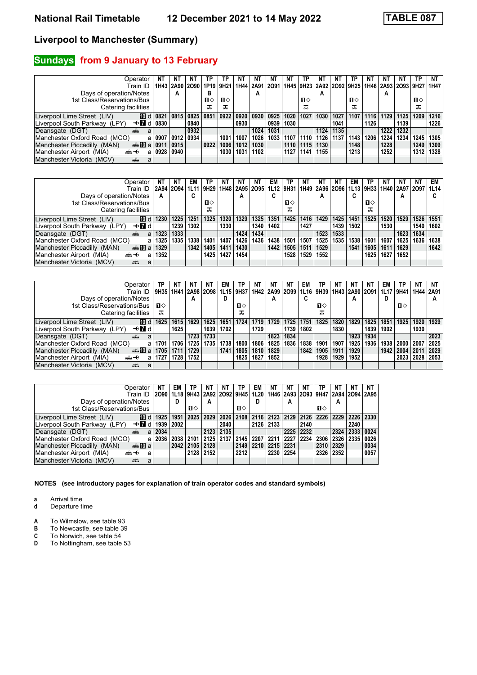### **Sundays** from 9 January to 13 February

| Operator                                                  | NT     | ΝT        | N1                  | TP.  | ТP           | NΤ        | ΝI   | NT   | ΝT   | TP.                                          | N1   | N1   | TP   | ΝT   |      | NT   | TP   | NT   |
|-----------------------------------------------------------|--------|-----------|---------------------|------|--------------|-----------|------|------|------|----------------------------------------------|------|------|------|------|------|------|------|------|
| Train ID                                                  | 1H43 I |           | 2A90 2O90 1P19 9H21 |      |              | 1H44 2A91 |      | 2091 |      | 1H45 9H23 2A92 2O92 9H25 1H46 2A93 2O93 9H27 |      |      |      |      |      |      |      | 1H47 |
| Days of operation/Notes                                   |        | A         |                     | в    |              |           | А    |      |      |                                              | A    |      |      |      | A    |      |      |      |
| 1st Class/Reservations/Bus                                |        |           |                     | п⇔   | $\mathbf{n}$ |           |      |      |      | $\mathbf{n}$                                 |      |      | п⇔   |      |      |      | п⇔   |      |
| Catering facilities                                       |        |           |                     | ᠼ    | ᠼ            |           |      |      |      |                                              |      |      | ᠼ    |      |      |      | ᅚ    |      |
| ID d 0821<br>Liverpool Lime Street (LIV)                  |        | 0815      | 0825                | 0851 | 0922         | 0920      | 0930 | 0925 | 1020 | 1027                                         | 1030 | 1027 | 1107 | 1116 | 1129 | 1125 | 1209 | 1216 |
| Liverpool South Parkway (LPY)<br>$\triangleleft$ M d 0830 |        |           | 0840                |      |              | 0930      |      | 0939 | 1030 |                                              |      | 1041 |      | 1126 |      | 1139 |      | 1226 |
| Deansgate (DGT)<br>æ<br>a                                 |        |           | 0932                |      |              |           | 1024 | 1031 |      |                                              | 1124 | 1135 |      |      | 1222 | 1232 |      |      |
| Manchester Oxford Road (MCO)<br>a                         | 0907   | 0912 0934 |                     |      | 1001         | 1007      | 1026 | 1033 | 1107 | 1110                                         | 1126 | 1137 | 1143 | 1206 | 1224 | 1234 | 1245 | 1305 |
| Manchester Piccadilly (MAN)<br><b>一冊 2 0911</b>           |        | 0915      |                     | 0922 | 1006         | 1012      | 1030 |      | 1110 | 1115                                         | 1130 |      | 1148 |      | 1228 |      | 1249 | 1309 |
| Manchester Airport (MIA)<br>⇜↞<br>a                       | 0928   | 0940      |                     |      | 1030         | 1031      | 1102 |      | 1127 | 1141                                         | 1155 |      | 1213 |      | 1252 |      | 1312 | 1328 |
| Manchester Victoria<br>(MCV)<br>پېښ<br>a                  |        |           |                     |      |              |           |      |      |      |                                              |      |      |      |      |      |      |      |      |

| Operator                                        | NT   | ΝT        | EM      | TP.  | NT   | NΤ   | NT.  | EM   | ТP   | NΤ                                                    | NΤ   | NT   | EM.  | ТP        | NT   | NΤ             | ΝT   | EM   |
|-------------------------------------------------|------|-----------|---------|------|------|------|------|------|------|-------------------------------------------------------|------|------|------|-----------|------|----------------|------|------|
| Train ID                                        |      | 2A94 2O94 | $1$ L11 | 9H29 |      |      |      |      |      | 1H48   2A95   2O95   1L12   9H31   1H49   2A96   2O96 |      |      |      | 1L13 9H33 |      | 1H40 2A97 2O97 |      | 1L14 |
| Days of operation/Notes                         | A    |           |         |      |      | А    |      | C    |      |                                                       | А    |      | C    |           |      | А              |      |      |
| 1st Class/Reservations/Bus                      |      |           |         | п⇔   |      |      |      |      | п⇔   |                                                       |      |      |      | п⇔        |      |                |      |      |
| Catering facilities                             |      |           |         | ᠼ    |      |      |      |      |      |                                                       |      |      |      | ᠼ         |      |                |      |      |
| 10 d∣<br>Liverpool Lime Street (LIV)            | 1230 | 1225      | 1251    | 1325 | 1320 | 1329 | 1325 | 1351 | 1425 | 1416                                                  | 1429 | 1425 | 1451 | 1525      | 1520 | 1529           | 1526 | 1551 |
| Liverpool South Parkway (LPY)<br>—tridi         |      | 1239      | 1302    |      | 1330 |      | 1340 | 1402 |      | 1427                                                  |      | 1439 | 1502 |           | 1530 |                | 1540 | 1602 |
| Deansgate (DGT)<br>añ,<br>a                     | 1323 | 1333      |         |      |      | 1424 | 1434 |      |      |                                                       | 1523 | 1533 |      |           |      | 1623           | 1634 |      |
| Manchester Oxford Road (MCO)<br>$\mathbf{a}$    | 1325 | 1335      | 1338    | 1401 | 1407 | 1426 | 1436 | 1438 | 1501 | 1507                                                  | 1525 | 1535 | 1538 | 1601      | 1607 | 1625           | 1636 | 1638 |
| Manchester Piccadilly (MAN)<br>da <b>T</b> ual  | 1329 |           | 1342    | 1405 | 1411 | 1430 |      | 1442 | 1505 | 1511                                                  | 1529 |      | 1541 | 1605      | 1611 | 1629           |      | 1642 |
| Manchester Airport (MIA)<br><del>∰ ∢</del><br>a | 1352 |           |         | 1425 | 1427 | 1454 |      |      | 1528 | 1529                                                  | 1552 |      |      | 1625      | 1627 | 1652           |      |      |
| Manchester Victoria (MCV)<br>æ<br>a             |      |           |         |      |      |      |      |      |      |                                                       |      |      |      |           |      |                |      |      |

| Operator                                         | ТР           | NΤ   |                                                | ΝT        | EM   | TP   | NT   | NT.  | NT   | EM   | ТP        | NT   | NT   | NI             | EM   | ΤP   | NΤ   | NT          |
|--------------------------------------------------|--------------|------|------------------------------------------------|-----------|------|------|------|------|------|------|-----------|------|------|----------------|------|------|------|-------------|
| Train ID                                         | 9H35 1H41    |      | 2A98   2O98   1L15   9H37   1H42   2A99   2O99 |           |      |      |      |      |      |      | 1L16 9H39 |      |      | 1H43 2A90 2O91 | 1L17 | 9H41 |      | 1H44   2A91 |
| Days of operation/Notes                          |              |      | A                                              |           | D    |      |      | A    |      |      |           |      | А    |                | D    |      |      | А           |
| 1st Class/Reservations/Bus                       | $\mathbf{n}$ |      |                                                |           |      | п⇔   |      |      |      |      | п⇔        |      |      |                |      | п⇔   |      |             |
| Catering facilities                              | ᠼ            |      |                                                |           |      | ᠼ    |      |      |      |      | ᠼ         |      |      |                |      |      |      |             |
| 100 dl<br>Liverpool Lime Street (LIV)            | 1625         | 1615 | 1629                                           | 1625      | 1651 | 1724 | 1719 | 1729 | 1725 | 1751 | 1825      | 1820 | 1829 | 1825           | 1851 | 1925 | 1920 | 1929        |
| Liverpool South Parkway (LPY)<br>—tridi          |              | 1625 |                                                | 1639      | 1702 |      | 1729 |      | 1739 | 1802 |           | 1830 |      | 1839           | 1902 |      | 1930 |             |
| Deansgate (DGT)<br>añ,<br>a                      |              |      |                                                | 1723 1733 |      |      |      | 1823 | 1834 |      |           |      | 1923 | 1934           |      |      |      | 2023        |
| Manchester Oxford Road (MCO)<br>a                | 1701         | 1706 |                                                | 1725 1735 | 1738 | 1800 | 1806 | 1825 | 1836 | 1838 | 1901      | 1907 | 1925 | 1936           | 1938 | 2000 | 2007 | 2025        |
| Manchester Piccadilly (MAN)<br>dan <b>T</b> olal | 1705         | 1711 | 1729                                           |           | 1741 | 1805 | 1810 | 1829 |      | 1842 | 1905      | 1911 | 1929 |                | 1942 | 2004 | 2011 | 2029        |
| Manchester Airport (MIA)<br><del>∰∽√</del><br>a  | 1727         | 1728 | 1752                                           |           |      | 1825 | 1827 | 1852 |      |      | 1928      | 1929 | 1952 |                |      | 2023 | 2028 | 2053        |
| Manchester Victoria (MCV)<br>æ<br>a              |              |      |                                                |           |      |      |      |      |      |      |           |      |      |                |      |      |      |             |

| NΤ<br>Operator                                           | EM   | ТР                            | ΝT        | NΤ        | ΤP   | EM   | <b>NT</b> |           | NΤ   | ΤP                                 | NΤ   | ΝT        | ΝT   |
|----------------------------------------------------------|------|-------------------------------|-----------|-----------|------|------|-----------|-----------|------|------------------------------------|------|-----------|------|
| 2090<br>Train ID                                         |      | 1L18 9H43 2A92 2O92 9H45 1L20 |           |           |      |      |           |           |      | 1H46 2A93 2O93 9H47 2A94 2O94 2A95 |      |           |      |
| Days of operation/Notes                                  | D    |                               | A         |           |      | D    |           | А         |      |                                    | А    |           |      |
| 1st Class/Reservations/Bus                               |      | п⇔                            |           |           | п⇔   |      |           |           |      | $\mathbf{u}$                       |      |           |      |
| Liverpool Lime Street (LIV)<br>$ I\!\!I\!\!I $ d<br>1925 | 1951 | 2025                          | 2029      | 2026 2108 |      |      | 2116 2123 | 2129 2126 |      | 2226 2229                          |      | 2226 2330 |      |
| —tridi<br>1939<br>Liverpool South Parkway (LPY)          | 2002 |                               |           | 2040      |      |      | 2126 2133 |           | 2140 |                                    |      | 2240      |      |
| 2034<br>Deansgate (DGT)<br>۵Ă<br>a                       |      |                               |           | 2123 2135 |      |      |           | 2225 2232 |      |                                    | 2324 | 2333      | 0024 |
| Manchester Oxford Road (MCO)<br>2036<br>a                | 2038 | 2101                          | 2125 2137 |           | 2145 | 2207 | 2211      | 2227      | 2234 | 2306                               | 2326 | 2335      | 0026 |
| Manchester Piccadilly (MAN)<br>dan <mark>in</mark> al    | 2042 | 2105                          | 2128      |           | 2149 | 2210 | 2215      | 2231      |      | 2310                               | 2329 |           | 0034 |
| Manchester Airport (MIA)<br><del>∰ ∢</del><br>a          |      | 2128                          | 2152      |           | 2212 |      | 2230      | 2254      |      | 2326                               | 2352 |           | 0057 |
| Manchester Victoria (MCV)<br>۵Ë<br>a                     |      |                               |           |           |      |      |           |           |      |                                    |      |           |      |

- **a** Arrival time<br>**d** Departure t
- **d** Departure time
- **A** To Wilmslow, see table 93<br>**B** To Newcastle, see table 39
- **B** To Newcastle, see table 39<br>**C** To Norwich, see table 54
- **C** To Norwich, see table 54<br>**D** To Nottingham, see table
- To Nottingham, see table 53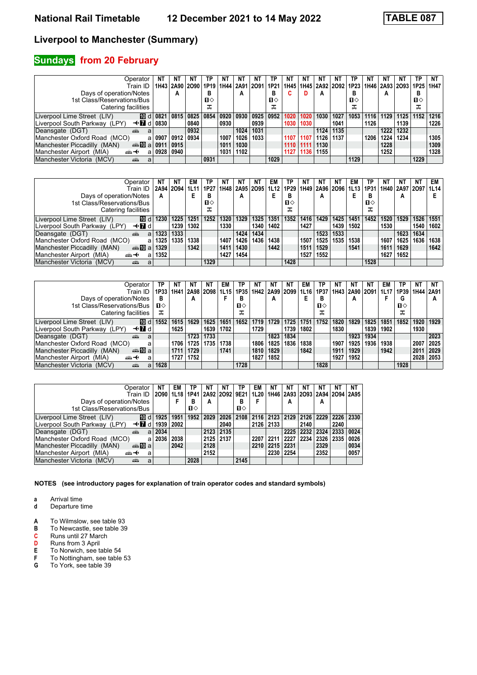### **Sundays from 20 February**

| Operator                                 |      | NT   |      | ΤP           | NT   | NΤ             | N1                                             | ТР   | NT   | NΤ   | N1             | N1   | TP   | ΝI   |      |                    | ΤP        | NΤ   |
|------------------------------------------|------|------|------|--------------|------|----------------|------------------------------------------------|------|------|------|----------------|------|------|------|------|--------------------|-----------|------|
| Train ID                                 |      |      |      |              |      |                | 1H43   2A90   2O90   1P19   1H44   2A91   2O91 | 1P21 | 1H45 |      | 1H45 2A92 2O92 |      | 1P23 |      |      | 1H46   2A93   2O93 | 1P25 1H47 |      |
| Days of operation/Notes                  |      | A    |      | в            |      | A              |                                                | ь    |      | D    | А              |      | в    |      | А    |                    | в         |      |
| 1st Class/Reservations/Bus               |      |      |      | $\mathbf{u}$ |      |                |                                                | п⇔   |      |      |                |      | п⇔   |      |      |                    | п⇔        |      |
| Catering facilities                      |      |      |      | ᠼ            |      |                |                                                | ᠼ    |      |      |                |      | ᠼ    |      |      |                    | ᅚ         |      |
| ID d 0821<br>Liverpool Lime Street (LIV) |      | 0815 | 0825 | 0854         |      | 0920 0930 0925 |                                                | 0952 | 1020 | 1020 | 1030           | 1027 | 1053 | 1116 | 1129 | 1125               | 1152      | 1216 |
| —tridi<br>Liverpool South Parkway (LPY)  | 0830 |      | 0840 |              | 0930 |                | 0939                                           |      | 1030 | 1030 |                | 1041 |      | 1126 |      | 1139               |           | 1226 |
| Deansgate (DGT)<br>٣Ĥ<br>a               |      |      | 0932 |              |      | 1024           | 1031                                           |      |      |      | 1124           | 1135 |      |      | 1222 | 1232               |           |      |
| Manchester Oxford Road (MCO)<br>a        | 0907 | 0912 | 0934 |              | 1007 | 1026           | 1033                                           |      | 1107 | 1107 | 1126           | 1137 |      | 1206 | 1224 | 1234               |           | 1305 |
| Manchester Piccadilly (MAN)<br>dan Milal | 091  | 0915 |      |              | 1011 | 1030           |                                                |      | 1110 | 1111 | 1130           |      |      |      | 1228 |                    |           | 1309 |
| Manchester Airport (MIA)<br><br>a        | 0928 | 0940 |      |              | 1031 | 1102           |                                                |      | 1127 | 1136 | 1155           |      |      |      | 1252 |                    |           | 1328 |
| Manchester Victoria (MCV)<br>پېښتنه<br>a |      |      |      | 0931         |      |                |                                                | 1029 |      |      |                |      | 1129 |      |      |                    | 1229      |      |

| Operator                                        | NT   | NT        | EM   | TP           | NT   | NΤ                        | NT.  | EM   | ТP   | NT   | NT                 | NT   | EM   |      | NT   | NT             | NΤ   | EM   |
|-------------------------------------------------|------|-----------|------|--------------|------|---------------------------|------|------|------|------|--------------------|------|------|------|------|----------------|------|------|
| Train ID                                        |      | 2A94 2O94 | 1L11 | 1P27         |      | 1H48   2A95   2O95   1L12 |      |      | 1P29 |      | 1H49   2A96   2O96 |      | 1L13 | 1P31 |      | 1H40 2A97 2O97 |      | 1L14 |
| Days of operation/Notes                         | A    |           |      | в            |      | А                         |      |      | в    |      | А                  |      | E    | в    |      | А              |      |      |
| 1st Class/Reservations/Bus                      |      |           |      | $\mathbf{u}$ |      |                           |      |      | П⇔   |      |                    |      |      | п⇔   |      |                |      |      |
| Catering facilities                             |      |           |      | ᠼ            |      |                           |      |      | ᠼ    |      |                    |      |      | ᠼ    |      |                |      |      |
| <b>ID</b> d<br>Liverpool Lime Street (LIV)      | 1230 | 1225      | 1251 | 1252         | 1320 | 1329                      | 1325 | 1351 | 1352 | 1416 | 1429               | 1425 | 1451 | 1452 | 1520 | 1529           | 1526 | 1551 |
| Liverpool South Parkway (LPY)<br>—trid          |      | 1239      | 1302 |              | 1330 |                           | 1340 | 1402 |      | 1427 |                    | 1439 | 1502 |      | 1530 |                | 1540 | 1602 |
| Deansgate (DGT)<br>din 1<br>a                   | 1323 | 1333      |      |              |      | 1424                      | 1434 |      |      |      | 1523               | 1533 |      |      |      | 1623           | 1634 |      |
| Manchester Oxford Road (MCO)<br>a               | 1325 | 1335      | 1338 |              | 1407 | 1426                      | 1436 | 1438 |      | 1507 | 1525               | 1535 | 1538 |      | 1607 | 1625           | 1636 | 1638 |
| Manchester Piccadilly (MAN)<br>dan Milal        | 1329 |           | 1342 |              | 1411 | 1430                      |      | 1442 |      | 1511 | 1529               |      | 1541 |      | 1611 | 1629           |      | 1642 |
| Manchester Airport (MIA)<br><del>∰∽⊀</del><br>a | 1352 |           |      |              | 1427 | 1454                      |      |      |      | 1527 | 1552               |      |      |      | 1627 | 1652           |      |      |
| Manchester Victoria (MCV)<br>æ<br>a             |      |           |      | 1329         |      |                           |      |      | 1428 |      |                    |      |      | 1528 |      |                |      |      |

| Operator                                        | ТР     | ΝT   | NT                                             | ΝT   | EM   | TP           | NT.  | NT   | NT   | EM   | ТP           | NT   | NT   | N1             | EM   | ΤP           | NΤ   | NΤ        |
|-------------------------------------------------|--------|------|------------------------------------------------|------|------|--------------|------|------|------|------|--------------|------|------|----------------|------|--------------|------|-----------|
| Train ID                                        | 1P33 I | 1H41 | 2A98   2O98   1L15   1P35   1H42   2A99   2O99 |      |      |              |      |      |      |      | 1L16   1P37  |      |      | 1H43 2A90 2O91 | 1L17 | 1P39 I       |      | 1H44 2A91 |
| Days of operation/Notes                         | в      |      | А                                              |      |      | в            |      | A    |      |      | В            |      | А    |                |      | G            |      | А         |
| 1st Class/Reservations/Bus                      | п⇔     |      |                                                |      |      | $\mathbf{u}$ |      |      |      |      | $\mathbf{u}$ |      |      |                |      | $\mathbf{n}$ |      |           |
| Catering facilities                             | ᠼ      |      |                                                |      |      | ᠼ            |      |      |      |      | ᠼ            |      |      |                |      | ᠼ            |      |           |
| 10 d∣<br>Liverpool Lime Street (LIV)            | 1552   | 1615 | 1629                                           | 1625 | 1651 | 1652         | 1719 | 1729 | 1725 | 1751 | 1752         | 1820 | 1829 | 1825           | 1851 | 1852         | 1920 | 1929      |
| Liverpool South Parkway (LPY)<br>—tridi         |        | 1625 |                                                | 1639 | 1702 |              | 1729 |      | 1739 | 1802 |              | 1830 |      | 1839           | 1902 |              | 1930 |           |
| Deansgate (DGT)<br>۳Ĥ<br>a                      |        |      | 1723                                           | 1733 |      |              |      | 1823 | 1834 |      |              |      | 1923 | 1934           |      |              |      | 2023      |
| Manchester Oxford Road (MCO)<br>a               |        | 1706 | 1725                                           | 1735 | 1738 |              | 1806 | 1825 | 1836 | 1838 |              | 1907 | 1925 | 1936           | 1938 |              | 2007 | 2025      |
| Manchester Piccadilly (MAN)<br>dan <b>in</b> al |        | 1711 | 1729                                           |      | 1741 |              | 1810 | 1829 |      | 1842 |              | 1911 | 1929 |                | 1942 |              | 2011 | 2029      |
| Manchester Airport (MIA)<br><del>∰∽⊀</del><br>a |        | 1727 | 1752                                           |      |      |              | 1827 | 1852 |      |      |              | 1927 | 1952 |                |      |              | 2028 | 2053      |
| Manchester Victoria (MCV)<br>æ<br>a             | 1628   |      |                                                |      |      | 1728         |      |      |      |      | 1828         |      |      |                |      | 1928         |      |           |

| Operator                                  | ΝT   | EM   | ΝT<br>ТР                                                                                 | NΤ        | ΤP   | EM   | ΝT   | NΤ   | NΤ   |           | ΝT   | <b>NT</b>      |
|-------------------------------------------|------|------|------------------------------------------------------------------------------------------|-----------|------|------|------|------|------|-----------|------|----------------|
| Train ID                                  |      |      | 2090   1L18   1P41   2A92   2O92   9E21   1L20   1H46   2A93   2O93   2A94   2O94   2A95 |           |      |      |      |      |      |           |      |                |
| Days of operation/Notes                   |      |      | в<br>A                                                                                   |           | В    |      |      | А    |      | А         |      |                |
| 1st Class/Reservations/Bus                |      |      | $\mathbf{u}$                                                                             |           | п⇔   |      |      |      |      |           |      |                |
| Liverpool Lime Street (LIV)<br>10 d       | 1925 | 1951 | 1952<br>2029                                                                             | 2026      | 2108 | 2116 | 2123 | 2129 | 2126 | 2229 2226 |      | $ 2330\rangle$ |
| Liverpool South Parkway (LPY)<br>—trid    | 1939 | 2002 |                                                                                          | 2040      |      | 2126 | 2133 |      | 2140 |           | 2240 |                |
| Deansgate (DGT)<br>۵Ť۵<br>a               | 2034 |      | 2123                                                                                     | 2135      |      |      |      | 2225 | 2232 | 2324      | 2333 | 0024           |
| Manchester Oxford Road (MCO)<br>a         | 2036 | 2038 |                                                                                          | 2125 2137 |      | 2207 | 2211 | 2227 | 2234 | 2326 2335 |      | 0026           |
| Manchester Piccadilly (MAN)<br>anna nDian |      | 2042 | 2128                                                                                     |           |      | 2210 | 2215 | 2231 |      | 2329      |      | 0034           |
| Manchester Airport (MIA)<br>⇜↞<br>a       |      |      | 2152                                                                                     |           |      |      | 2230 | 2254 |      | 2352      |      | 0057           |
| Manchester Victoria (MCV)<br>۵Ë<br>a      |      |      | 2028                                                                                     |           | 2145 |      |      |      |      |           |      |                |

- **a** Arrival time<br>**d** Departure t
- **d** Departure time
- **A** To Wilmslow, see table 93<br>**B** To Newcastle, see table 39
- **B** To Newcastle, see table 39<br>**C** Runs until 27 March
- **C** Runs until 27 March<br>**D** Runs from 3 April
- **D** Runs from 3 April<br>**E** To Norwich, see ta
- **E** To Norwich, see table 54<br>**F** To Nottingham, see table
- **F** To Nottingham, see table 53<br>**G** To York, see table 39 To York, see table 39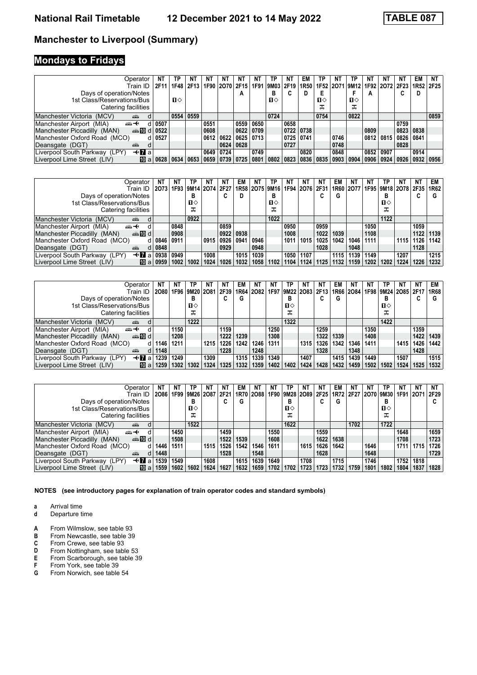# **Mondays to Fridays**

| Operator                                    | NT   | ΤP           | ΝT   | NΤ   | NT                 | ΝT                  | NT   | ТР           | ΝT   | EM          | ТP           | NΤ   | ТP          |      | NΤ          | ΝT                                 | EM   | NT   |
|---------------------------------------------|------|--------------|------|------|--------------------|---------------------|------|--------------|------|-------------|--------------|------|-------------|------|-------------|------------------------------------|------|------|
| Train ID                                    | 2F11 | 1F48         | 2F13 |      |                    | 1F90 2O70 2F15 1F91 |      | 9M03         | 2F19 | 1R50        |              |      |             |      |             | 1F52 2O71 9M12 1F92 2O72 2F23 1R52 |      | 2F25 |
| Days of operation/Notes                     |      |              |      |      |                    | А                   |      | в            |      |             |              |      |             | A    |             |                                    | D    |      |
| 1st Class/Reservations/Bus                  |      | $\mathbf{n}$ |      |      |                    |                     |      | $\mathbf{n}$ |      |             | $\mathbf{u}$ |      | п⇔          |      |             |                                    |      |      |
| Catering facilities                         |      |              |      |      |                    |                     |      |              |      |             | ᠼ            |      | ᠼ           |      |             |                                    |      |      |
| Manchester Victoria (MCV)<br>۳Ĥ<br>d        |      | 0554         | 0559 |      |                    |                     |      | 0724         |      |             | 0754         |      | 0822        |      |             |                                    |      | 0859 |
| Manchester Airport (MIA)<br>安<br>d          | 0507 |              |      | 0551 |                    | 0559                | 0650 |              | 0658 |             |              |      |             |      |             | 0759                               |      |      |
| d 0522<br>Manchester Piccadilly (MAN)       |      |              |      | 0608 |                    | 0622                | 0709 |              | 0722 | 0738        |              |      |             | 0809 |             | 0823                               | 0838 |      |
| Manchester Oxford Road (MCO)                | 0527 |              |      | 0612 | 0622               | 0625                | 0713 |              |      | $0725$ 0741 |              | 0746 |             | 0812 | 0815        | 0826                               | 0841 |      |
| Deansgate (DGT)<br>d<br>$\overline{a}$      |      |              |      |      | 0624               | 0628                |      |              | 0727 |             |              | 0748 |             |      |             | 0828                               |      |      |
| <b>√Ma</b><br>Liverpool South Parkway (LPY) |      |              |      | 0649 | 0724               |                     | 0749 |              |      | 0820        |              | 0848 |             |      | 0852 0907   |                                    | 0914 |      |
| Liverpool Lime Street (LIV)<br>MT al        | 0628 | 0634         | 0653 |      | 0659   0739   0725 |                     | 0801 | 0802         | 0823 | 0836        | 0835         |      | 0903   0904 | 0906 | $0924$ 0926 |                                    | 0932 | 0956 |

| Operator<br>Train ID                                 | ΝT<br>2073 | NΤ   | TP<br>1F93   9M14   2O74   2F27   1R58   2O75   9M16 | ΝT   | NΤ     | EM   | ΝI   | ТP           | NT   | NT<br>1F94 2O76 2F31 | N1   | EM   | ΝI<br>1R60 2077 |      | ΤP   | ΝT   | <b>NT</b><br>1F95   9M18   2O78   2F35   1R62 | EM   |
|------------------------------------------------------|------------|------|------------------------------------------------------|------|--------|------|------|--------------|------|----------------------|------|------|-----------------|------|------|------|-----------------------------------------------|------|
| Days of operation/Notes                              |            |      | в                                                    |      | ◠<br>u | D    |      | В            |      |                      | u    | G    |                 |      | в    |      |                                               | G    |
| 1st Class/Reservations/Bus                           |            |      | п⇔                                                   |      |        |      |      | $\mathbf{n}$ |      |                      |      |      |                 |      | п⇔   |      |                                               |      |
| Catering facilities                                  |            |      | ᠼ                                                    |      |        |      |      | ᠼ            |      |                      |      |      |                 |      | ᠼ    |      |                                               |      |
| Manchester Victoria (MCV)<br>añ.                     |            |      | 0922                                                 |      |        |      |      | 1022         |      |                      |      |      |                 |      | 1122 |      |                                               |      |
| Manchester Airport (MIA)<br>⇜↞                       |            | 0848 |                                                      |      | 0859   |      |      |              | 0950 |                      | 0959 |      |                 | 1050 |      |      | 1059                                          |      |
| $\clubsuit$ 10 d<br>Manchester Piccadilly (MAN)      |            | 0908 |                                                      |      | 0922   | 0938 |      |              | 1008 |                      | 1022 | 1039 |                 | 1108 |      |      | 1122                                          | 1139 |
| Manchester Oxford Road (MCO)<br>d l                  | 0846       | 0911 |                                                      | 0915 | 0926   | 0941 | 0946 |              | 1011 | 1015                 | 1025 | 1042 | 1046            | 1111 |      | 1115 | 1126                                          | 1142 |
| Deansgate (DGT)<br>d<br><b>ATT</b>                   | 0848       |      |                                                      |      | 0929   |      | 0948 |              |      |                      | 1028 |      | 1048            |      |      |      | 1128                                          |      |
| $+ \blacksquare$ al<br>Liverpool South Parkway (LPY) | 0938       | 0949 |                                                      | 1008 |        | 1015 | 1039 |              | 1050 | 1107                 |      | 1115 | 1139            | 1149 |      | 1207 |                                               | 1215 |
| Liverpool Lime Street (LIV)<br>$\mathsf{m}$ all      | 0959       | 1002 | 1002                                                 | 1024 | 1026   | 1032 | 1058 | 1102         | 1104 | 1124                 | 1125 | 1132 | 1159            | 1202 | 1202 | 1224 | 1226                                          | 1232 |

| Operator                                             | NT   | NΤ   | ТP             | NΤ   | NT   | EM                | NT.            | NT   | ТP             | NT   | N1   | EM   | NT        | ΝT   | ТP   | NT                  | ΝT   | EM   |
|------------------------------------------------------|------|------|----------------|------|------|-------------------|----------------|------|----------------|------|------|------|-----------|------|------|---------------------|------|------|
| Train ID                                             | 2080 |      | 1F96 9M20 2O81 |      | 2F39 |                   | 1R64 2O82 1F97 |      | 9M22 2O83 2F13 |      |      |      | 1R66 2084 |      |      | 1F98 9M24 2O85 2F17 |      | 1R68 |
| Days of operation/Notes                              |      |      | в              |      | u    | G                 |                |      | в              |      |      | G    |           |      | в    |                     | C    | G    |
| 1st Class/Reservations/Bus                           |      |      | п⇔             |      |      |                   |                |      | п⇔             |      |      |      |           |      | п⇔   |                     |      |      |
| Catering facilities                                  |      |      | ᠼ              |      |      |                   |                |      | ᇁ              |      |      |      |           |      | ᠼ    |                     |      |      |
| Manchester Victoria (MCV)<br>پیشته                   |      |      | 1222           |      |      |                   |                |      | 1322           |      |      |      |           |      | 1422 |                     |      |      |
| Manchester Airport (MIA)<br>安                        |      | 1150 |                |      | 1159 |                   |                | 1250 |                |      | 1259 |      |           | 1350 |      |                     | 1359 |      |
| d l d l<br>Manchester Piccadilly (MAN)               |      | 1208 |                |      | 1222 | 1239              |                | 1308 |                |      | 1322 | 1339 |           | 1408 |      |                     | 1422 | 1439 |
| Manchester Oxford Road (MCO)                         | 1146 | 1211 |                | 1215 | 1226 | 1242              | 1246           | 1311 |                | 1315 | 1326 | 1342 | 1346      | 1411 |      | 1415                | 1426 | 1442 |
| Deansgate (DGT)<br><b>ATT</b>                        | 1148 |      |                |      | 1228 |                   | 1248           |      |                |      | 1328 |      | 1348      |      |      |                     | 1428 |      |
| $+ \blacksquare$ al<br>Liverpool South Parkway (LPY) | 1239 | 1249 |                | 1309 |      | 1315              | 1339           | 1349 |                | 1407 |      | 1415 | 1439      | 1449 |      | 1507                |      | 1515 |
| Liverpool Lime Street (LIV)<br>$\mathbf{m}$ all      | 1259 | 1302 | 1302           | 1324 | 1325 | 1332 <sub>1</sub> | 1359           | 1402 | 1402           | 1424 | 1428 | 1432 | 1459      | 1502 | 1502 | 1524                | 1525 | 1532 |

| Operator                                        | <b>NT</b>     | NT   | ТP        | ΝT   | NΤ     | EM   | ΝT   | ΝT   | ТP           | ΝT                  | ΝT   | EM   | N1   |      | ТP             | ΝT   | <b>NT</b> | NΤ   |
|-------------------------------------------------|---------------|------|-----------|------|--------|------|------|------|--------------|---------------------|------|------|------|------|----------------|------|-----------|------|
| Train ID                                        | 2086          | 1F99 | 9M26 2O87 |      | 2F21   | 1R70 | 2088 |      |              | 1F90 9M28 2O89 2F25 |      | 1R72 |      |      | 2F27 2O70 9M30 | 1F91 | 2071      | 2F29 |
| Days of operation/Notes                         |               |      | в         |      | ~<br>u | G    |      |      | в            |                     | u    | G    |      |      | в              |      |           | G    |
| 1st Class/Reservations/Bus                      |               |      | п⇔        |      |        |      |      |      | $\mathbf{u}$ |                     |      |      |      |      | ப⇔             |      |           |      |
| Catering facilities                             |               |      | ᠼ         |      |        |      |      |      | ᠼ            |                     |      |      |      |      | ᠼ              |      |           |      |
| Manchester Victoria<br>aile<br>(MCV)            | d             |      | 1522      |      |        |      |      |      | 1622         |                     |      |      | 1702 |      | 1722           |      |           |      |
| Manchester Airport (MIA)<br><del>՟</del>        |               | 1450 |           |      | 1459   |      |      | 1550 |              |                     | 1559 |      |      |      |                | 1648 |           | 1659 |
| $\clubsuit$ 10 d<br>Manchester Piccadilly (MAN) |               | 1508 |           |      | 1522   | 1539 |      | 1608 |              |                     | 1622 | 1638 |      |      |                | 1708 |           | 1723 |
| Manchester Oxford Road (MCO)                    | 1446  <br>d l | 1511 |           | 1515 | 1526   | 1542 | 1546 | 1611 |              | 1615                | 1626 | 1642 |      | 1646 |                | 1711 | 1715      | 1726 |
| Deansgate (DGT)<br>۵Ă                           | 1448<br>d     |      |           |      | 1528   |      | 1548 |      |              |                     | 1628 |      |      | 1648 |                |      |           | 1729 |
| Liverpool South Parkway (LPY)<br>—tr∎al         | 1539          | 1549 |           | 1608 |        | 1615 | 1639 | 1649 |              | 1708                |      | 1715 |      | 1746 |                | 1752 | 1818      |      |
| Liverpool Lime Street (LIV)<br>$\mathbf{m}$ all | 1559          | 1602 | 1602      | 1624 | 1627   | 1632 | 1659 | 1702 | 1702         | 1723                | 1723 | 1732 | 1759 | 1801 | 1802           | 1804 | 1837      | 1828 |

**NOTES (see introductory pages for explanation of train operator codes and standard symbols)**

**a** Arrival time<br>**d** Departure t

- **A** From Wilmslow, see table 93<br>**B** From Newcastle, see table 39
- **B** From Newcastle, see table 39<br>**C** From Crewe, see table 93
- **C** From Crewe, see table 93<br>**D** From Nottingham, see table
- **D** From Nottingham, see table 53<br>**E** From Scarborough, see table 39
- **E** From Scarborough, see table 39<br>**F** From York, see table 39<br>**G** From Norwich, see table 54
- From York, see table 39
- From Norwich, see table 54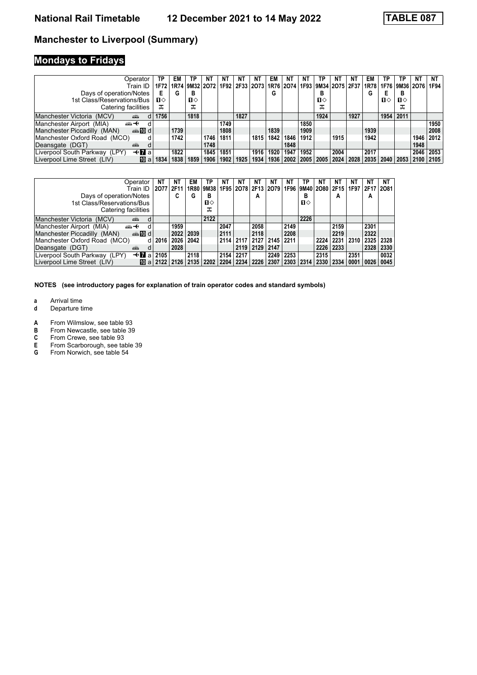# **Mondays to Fridays**

| Operator<br>Train ID                            | ТP<br>1F72 | EM   | ТP<br>1R74 9M32 2O72 1F92 2F33 2O73 | NΤ   | NΤ   | NΤ   | NT   | EM   | NT   | NT<br>  1R76   2O74   1F93   9M34   2O75   2F37   1R78 | ТP           | NΤ   | NT   | EM   | ΤP        | ТP<br>  1F76   9M36   2O76 | NΤ   | NT<br>1F94 |
|-------------------------------------------------|------------|------|-------------------------------------|------|------|------|------|------|------|--------------------------------------------------------|--------------|------|------|------|-----------|----------------------------|------|------------|
| Days of operation/Notes                         | E          | G    | в                                   |      |      |      |      | G    |      |                                                        | в            |      |      | G    |           | в                          |      |            |
| 1st Class/Reservations/Bus                      | п⇔         |      | п⇔                                  |      |      |      |      |      |      |                                                        | $\mathbf{u}$ |      |      |      | п⇔        | п⇔                         |      |            |
| Catering facilities                             | ᠼ          |      | ᠼ                                   |      |      |      |      |      |      |                                                        | ᠼ            |      |      |      |           |                            |      |            |
| Manchester Victoria (MCV)<br>۳Ĥ                 | 1756       |      | 1818                                |      |      | 1827 |      |      |      |                                                        | 1924         |      | 1927 |      | 1954      | 2011                       |      |            |
| Manchester Airport (MIA)<br>⇜↞<br>d             |            |      |                                     |      | 1749 |      |      |      |      | 1850                                                   |              |      |      |      |           |                            |      | 1950       |
| $\oplus$ 10 d<br>Manchester Piccadilly (MAN)    |            | 1739 |                                     |      | 1808 |      |      | 1839 |      | 1909                                                   |              |      |      | 1939 |           |                            |      | 2008       |
| Manchester Oxford Road (MCO)                    |            | 1742 |                                     | 1746 | 1811 |      | 1815 | 1842 | 1846 | 1912                                                   |              | 1915 |      | 1942 |           |                            | 1946 | 2012       |
| Deansgate (DGT)<br>aile<br>d                    |            |      |                                     | 1748 |      |      |      |      | 1848 |                                                        |              |      |      |      |           |                            | 1948 |            |
| $+$ <b>7</b> a<br>Liverpool South Parkway (LPY) |            | 1822 |                                     | 1845 | 1851 |      | 1916 | 1920 | 1947 | 1952                                                   |              | 2004 |      | 2017 |           |                            | 2046 | 2053       |
| Liverpool Lime Street (LIV)<br>而 al             | 1834       | 1838 | 1859                                | 1906 | 1902 | 1925 | 1934 | 1936 | 2002 |                                                        | 2005   2005  | 2024 | 2028 | 2035 | 2040 2053 |                            |      | 2100 2105  |

| Operator<br>Train ID.<br>Days of operation/Notes<br>1st Class/Reservations/Bus<br>Catering facilities                                                                                                                                                  | NT<br>2077 | ΝT<br>EM<br>2F11<br>C<br>G | ΤP<br>1R80 9M38<br>в<br>்ப<br>ᠼ | NΤ   | NT        | NΤ<br>А   | NT<br>1F95 2O78 2F13 2O79 1F96 9M40 2O80 2F15 | NT   | ΤP<br>в<br>ப⇔ | NT        | NT<br>А   | NT<br>1F97 | ΝT<br>2F17 2081<br>А | NΤ        |
|--------------------------------------------------------------------------------------------------------------------------------------------------------------------------------------------------------------------------------------------------------|------------|----------------------------|---------------------------------|------|-----------|-----------|-----------------------------------------------|------|---------------|-----------|-----------|------------|----------------------|-----------|
| Manchester Victoria (MCV)<br>هتته                                                                                                                                                                                                                      |            |                            | 2122                            |      |           |           |                                               |      | 2226          |           |           |            |                      |           |
| Manchester Airport (MIA)<br>安<br>d                                                                                                                                                                                                                     |            | 1959                       |                                 | 2047 |           | 2058      |                                               | 2149 |               |           | 2159      |            | 2301                 |           |
| Manchester Piccadilly (MAN)<br>d <b>line</b>                                                                                                                                                                                                           |            | 2022<br>2039               |                                 | 2111 |           | 2118      |                                               | 2208 |               |           | 2219      |            | 2322                 |           |
| Manchester Oxford Road (MCO)                                                                                                                                                                                                                           | 2016       | 2042<br>2026               |                                 |      | 2114 2117 | 2127      | 2145 2211                                     |      |               | 2224      | 2231      | 2310       |                      | 2325 2328 |
| Deansgate (DGT)<br>d<br>am and the second state of the second state of the second state in the second state in the second state in the second state in the second state in the second state in the second state in the second state in the second stat |            | 2028                       |                                 |      | 2119      | 2129      | 2147                                          |      |               |           | 2226 2233 |            | 2328                 | 2330      |
| $\ddotmark$<br>Liverpool South Parkway (LPY)<br>a                                                                                                                                                                                                      | 2105       | 2118                       |                                 | 2154 | 2217      |           | 2249                                          | 2253 |               | 2315      |           | 2351       |                      | 0032      |
| Liverpool Lime Street (LIV)<br>$\overline{10}$ a $\overline{2122}$ $\overline{2126}$                                                                                                                                                                   |            |                            | $2135$   2202                   | 2204 | 2234      | 2226 2307 |                                               | 2303 | 2314          | 2330 2334 |           | 0001       | 0026                 | 0045      |

- **a** Arrival time<br>**d** Departure t
- **d** Departure time
- **A** From Wilmslow, see table 93<br>**B** From Newcastle, see table 39
- **B** From Newcastle, see table 39<br>**C** From Crewe, see table 93
- **C** From Crewe, see table 93<br>**E** From Scarborough, see ta<br>**G** From Norwich, see table 5
- From Scarborough, see table 39
- From Norwich, see table 54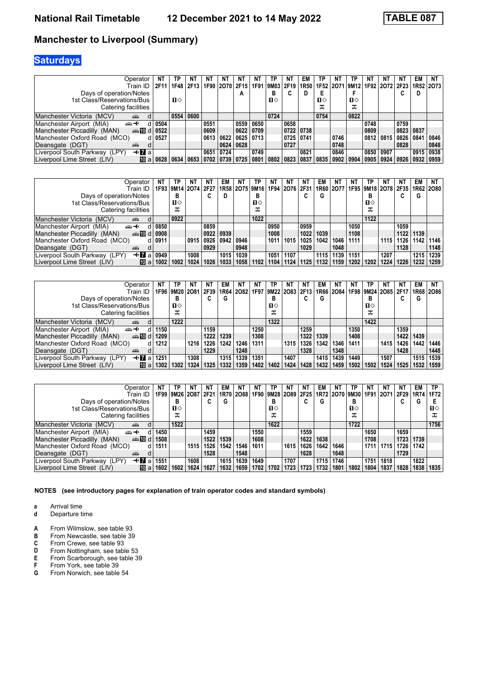# **Saturdays**

| Operator                                     | NT                                  | ТP   |      | NΤ          | NT   | NT                  | ΝT        | ΤР           | N1        | EM             | ГΡ                 | NT   | ΤP             | ΝT   | NT        |           | EM          | <b>NT</b>                |
|----------------------------------------------|-------------------------------------|------|------|-------------|------|---------------------|-----------|--------------|-----------|----------------|--------------------|------|----------------|------|-----------|-----------|-------------|--------------------------|
| Train ID                                     | 2F11                                | 1F48 | 2F13 |             |      | 1F90 2O70 2F15 1F91 |           |              | 9M03 2F19 | 1R50           |                    |      | 1F52 2O71 9M12 |      |           |           |             | 1F92 2072 2F23 1R52 2073 |
| Days of operation/Notes                      |                                     |      |      |             |      | А                   |           | в            |           | D              | Е                  |      |                |      |           |           | D           |                          |
| 1st Class/Reservations/Bus                   |                                     | п⇔   |      |             |      |                     |           | $\mathbf{n}$ |           |                | п⇔                 |      | п⇔             |      |           |           |             |                          |
| Catering facilities                          |                                     |      |      |             |      |                     |           |              |           |                | ᠼ                  |      | ᠼ              |      |           |           |             |                          |
| Manchester Victoria (MCV)<br>din 1           |                                     | 0554 | 0600 |             |      |                     |           | 0724         |           |                | 0754               |      | 0822           |      |           |           |             |                          |
| Manchester Airport (MIA)<br>ക+               | 0504                                |      |      | 0551        |      | 0559                | 0650      |              | 0658      |                |                    |      |                | 0748 |           | 0759      |             |                          |
| Manchester Piccadilly (MAN)<br>ക്.100 d 0522 |                                     |      |      | 0609        |      |                     | 0622 0709 |              | 0722      | $ 0738\rangle$ |                    |      |                | 0809 |           | 0823 0837 |             |                          |
| Manchester Oxford Road (MCO)                 | d   0527                            |      |      | 0613        | 0622 |                     | 0625 0713 |              |           | 0725 0741      |                    | 0746 |                |      | 0812 0815 | 0826      | 0841        | 0846                     |
| Deansgate (DGT)<br>پېښتو                     |                                     |      |      |             | 0624 | 0628                |           |              | 0727      |                |                    | 0748 |                |      |           | 0828      |             | 0848                     |
| —tr∎al<br>Liverpool South Parkway (LPY)      |                                     |      |      | 0651        | 0724 |                     | 0749      |              |           | 0821           |                    | 0846 |                | 0850 | 0907      |           | 0915        | 0938                     |
| Liverpool Lime Street (LIV)                  | $\overline{10}$ a $\overline{0628}$ | 0634 | 0653 | $0702$ 0739 |      | 0725                | 0801      | 0802         | 0823      | 0837           | 0835   0902   0904 |      |                | 0905 | 0924      | 0926      | 0932   0959 |                          |

| Operator                                             | NT               | ΤP   | NT                        | NΤ     | EM           | NT.                       | ΤP           | NT   | ΝT        | N1   | EM   | NT        | NT   | ТP   | NT.            | NT   | EM                 | NT   |
|------------------------------------------------------|------------------|------|---------------------------|--------|--------------|---------------------------|--------------|------|-----------|------|------|-----------|------|------|----------------|------|--------------------|------|
| Train ID                                             |                  |      | 1F93   9M14   2O74   2F27 |        |              | 1R58   2O75   9M16   1F94 |              |      | 2076 2F31 |      |      | 1R60 2077 |      |      | 1F95 9M18 2078 |      | 2F35   1R62   2O80 |      |
| Days of operation/Notes                              |                  | в    |                           | ◠<br>u | D            |                           | в            |      |           |      | G    |           |      |      |                |      | G                  |      |
| 1st Class/Reservations/Bus                           |                  | п⇔   |                           |        |              |                           | $\mathbf{n}$ |      |           |      |      |           |      | п⇔   |                |      |                    |      |
| Catering facilities                                  |                  | ᠼ    |                           |        |              |                           | ᠼ            |      |           |      |      |           |      |      |                |      |                    |      |
| Manchester Victoria (MCV)<br>ain                     |                  | 0922 |                           |        |              |                           | 1022         |      |           |      |      |           |      | 1122 |                |      |                    |      |
| Manchester Airport (MIA)<br>⇜↞<br>d                  | 0850             |      |                           | 0859   |              |                           |              | 0950 |           | 0959 |      |           | 1050 |      |                | 1059 |                    |      |
| dilment di<br>Manchester Piccadilly (MAN)            | 0908             |      |                           | 0922   | $\vert$ 0939 |                           |              | 1008 |           | 1022 | 1039 |           | 1108 |      |                | 1122 | 1139               |      |
| Manchester Oxford Road (MCO)<br>d l                  | $^{\circ}$ 0911. |      | 0915                      | 0926   | 0942         | 0946                      |              | 1011 | 1015      | 1025 | 1042 | 1046      | 1111 |      | 1115           | 1126 | 1142               | 1146 |
| Deansgate (DGT)<br><b>ATT</b>                        |                  |      |                           | 0929   |              | 0948                      |              |      |           | 1029 |      | 1048      |      |      |                | 1128 |                    | 1148 |
| $\triangleleft$ 7 a<br>Liverpool South Parkway (LPY) | 0949             |      | 1008                      |        | 1015         | 1039                      |              | 1051 | 1107      |      | 1115 | 1139      | 1151 |      | 1207           |      | 1215               | 1239 |
| [而 al<br>Liverpool Lime Street (LIV)                 | 1002             | 1002 | 1024                      | 1026   | 1033         | 1058                      | 1102         | 1104 | 1124      | 1125 | 1132 | 1159      | 1202 | 1202 | 1224           | 1226 | 1232               | 1259 |

| Operator                                             | NT   | ΤP   | NT   | ΝT                                             | EM   | N1   | NI   | ТP   | ΝT   | N1                 | EM   | NT          | NT   | ΤР   | NT.            | NT   | EM          | NT.  |
|------------------------------------------------------|------|------|------|------------------------------------------------|------|------|------|------|------|--------------------|------|-------------|------|------|----------------|------|-------------|------|
| Train ID                                             |      |      |      | 1F96   9M20   2O81   2F39   1R64   2O82   1F97 |      |      |      |      |      | 9M22   2O83   2F13 |      | 1R66   2O84 |      |      | 1F98 9M24 2O85 | 2F17 | 1R68   2O86 |      |
| Days of operation/Notes                              |      | в    |      | ⌒<br>U                                         | G    |      |      | В    |      |                    | G    |             |      |      |                |      | G           |      |
| 1st Class/Reservations/Bus                           |      | п⇔   |      |                                                |      |      |      | п⇔   |      |                    |      |             |      | п⇔   |                |      |             |      |
| Catering facilities                                  |      | ᠼ    |      |                                                |      |      |      | ᠼ    |      |                    |      |             |      |      |                |      |             |      |
| Manchester Victoria (MCV)<br>ain                     |      | 1222 |      |                                                |      |      |      | 1322 |      |                    |      |             |      | 1422 |                |      |             |      |
| Manchester Airport (MIA)<br>ക+<br>d.                 | 1150 |      |      | 1159                                           |      |      | 1250 |      |      | 1259               |      |             | 1350 |      |                | 1359 |             |      |
| dilment di<br>Manchester Piccadilly (MAN)            | 1209 |      |      | 1222                                           | 1239 |      | 1308 |      |      | 1322               | 1339 |             | 1408 |      |                | 1422 | 1439        |      |
| Manchester Oxford Road (MCO)                         | 1212 |      | 1216 | 1226                                           | 1242 | 1246 | 1311 |      | 1315 | 1326               | 1342 | 1346        | 1411 |      | 1415           | 1426 | 1442        | 1446 |
| Deansgate (DGT)<br><b>ATT</b>                        |      |      |      | 1229                                           |      | 1248 |      |      |      | 1328               |      | 1348        |      |      |                | 1428 |             | 1448 |
| $\triangleleft$ 7 a<br>Liverpool South Parkway (LPY) | 1251 |      | 1308 |                                                | 1315 | 1339 | 1351 |      | 1407 |                    | 1415 | 1439        | 1449 |      | 1507           |      | 1515        | 1539 |
| [而 al<br>Liverpool Lime Street (LIV)                 | 1302 | 1302 | 1324 | 1325                                           | 1332 | 1359 | 1402 | 1402 | 1424 | 1428               | 1432 | 1459        | 1502 | 1502 | 1524           | 1525 | 1532        | 1559 |

| Operator<br>Train ID<br>Days of operation/Notes<br>1st Class/Reservations/Bus<br>Catering facilities | NΤ   | TP<br>1F99   9M26   2O87<br>в<br>்ப<br>ᠼ | ΝT   | ΝT<br>2F21<br>◠<br>u | EM<br>1R70<br>G | NΤ<br>2088 | NT<br>1F90 | ТР<br>в<br>П⇔<br>ᠼ | N1   | ΝT<br>9M28 2O89 2F25 | EM<br>G | NΤ   | ΤP<br>в<br>п⇔<br>ᠼ | ΝT<br>1R72 2070 9M30 1F91 2071 2F29 | NΤ          | ΝT   | EM<br>1R74<br>G | ТP<br>1F72<br>п⇔<br>ᅚ |
|------------------------------------------------------------------------------------------------------|------|------------------------------------------|------|----------------------|-----------------|------------|------------|--------------------|------|----------------------|---------|------|--------------------|-------------------------------------|-------------|------|-----------------|-----------------------|
| Manchester Victoria<br>(MCV)<br>din 1<br><sub>d</sub>                                                |      | 1522                                     |      |                      |                 |            |            | 1622               |      |                      |         |      | 1722               |                                     |             |      |                 | 1756                  |
| Manchester Airport (MIA)<br>⇜↞<br>d                                                                  | 1450 |                                          |      | 1459                 |                 |            | 1550       |                    |      | 1559                 |         |      |                    | 1650                                |             | 1659 |                 |                       |
| anno di<br>Manchester Piccadilly (MAN)                                                               | 1508 |                                          |      | 1522                 | 1539            |            | 1608       |                    |      | 1622                 | 1638    |      |                    | 1708                                |             | 1723 | 1739            |                       |
| Manchester Oxford Road (MCO)<br>d l                                                                  | 1511 |                                          | 1515 | 1526                 | 1542            | 1546       | 1611       |                    | 1615 | 1626                 | 1642    | 1646 |                    |                                     | 1711   1715 | 1726 | 1742            |                       |
| Deansgate (DGT)<br>پیشته<br>d                                                                        |      |                                          |      | 1528                 |                 | 1548       |            |                    |      | 1628                 |         | 1648 |                    |                                     |             | 1729 |                 |                       |
| $+$ <b>7</b> a<br>Liverpool South Parkway (LPY)                                                      | 1551 |                                          | 1608 |                      | 1615            | 1639       | 1649       |                    | 1707 |                      | 1715    | 1746 |                    | 1751                                | 1818        |      | 1822            |                       |
| Liverpool Lime Street (LIV)<br>[而 al                                                                 | 1602 | 1602                                     | 1624 | 1627                 | 1632            | 1659       | 1702       | 1702               | 1723 | 1723                 | 1732    | 1801 | 1802               | 1804                                | 1837        | 1828 | 1838            | 1835                  |

**NOTES (see introductory pages for explanation of train operator codes and standard symbols)**

**a** Arrival time<br>**d** Departure t

- **A** From Wilmslow, see table 93<br>**B** From Newcastle, see table 39
- **B** From Newcastle, see table 39<br>**C** From Crewe, see table 93
- **C** From Crewe, see table 93<br>**D** From Nottingham, see table
- **D** From Nottingham, see table 53<br>**E** From Scarborough, see table 39
- **E** From Scarborough, see table 39<br>**F** From York, see table 39<br>**G** From Norwich, see table 54
- From York, see table 39
- From Norwich, see table 54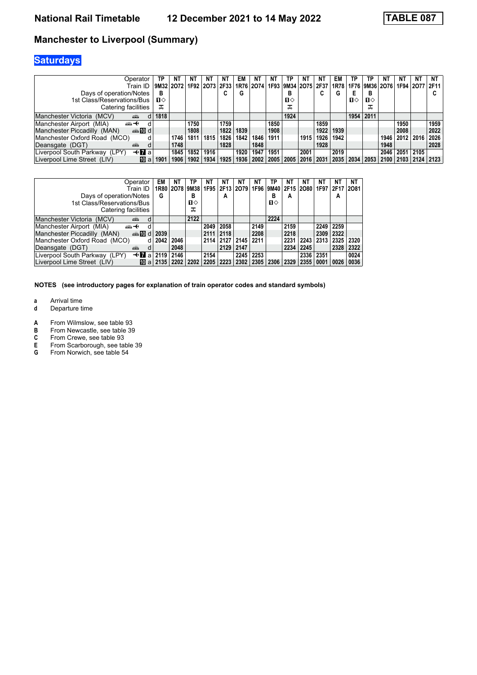# **Saturdays**

| Operator                                      | ТР   | ΝT         | NΤ   | ΝT             | NΤ     | EM   | NT   | NΤ   | ТP           | NT                                      | NT   | EM   | ΤP | TΡ             | ΝT             | NT.       | NΤ        | NT            |
|-----------------------------------------------|------|------------|------|----------------|--------|------|------|------|--------------|-----------------------------------------|------|------|----|----------------|----------------|-----------|-----------|---------------|
| Train ID                                      |      | 9M3212O721 |      | 1F92 2O73 2F33 |        |      |      |      |              | 1R76   2O74   1F93   9M34   2O75   2F37 |      | 1R78 |    |                | 1F76 9M36 2O76 |           | 1F94 2O77 | 2F11          |
| Days of operation/Notes                       | в    |            |      |                | ~<br>u | G    |      |      | в            |                                         | C    | G    | E  | В              |                |           |           | u             |
| 1st Class/Reservations/Bus                    | п⇔   |            |      |                |        |      |      |      | $\mathbf{u}$ |                                         |      |      | п⇔ | п⇔             |                |           |           |               |
| Catering facilities                           | ᠼ    |            |      |                |        |      |      |      | ᠼ            |                                         |      |      |    | ᠼ              |                |           |           |               |
| Manchester Victoria (MCV)<br>din 1            | 1818 |            |      |                |        |      |      |      | 1924         |                                         |      |      |    | 1954 2011      |                |           |           |               |
| Manchester Airport (MIA)<br>⇜↞                |      |            | 1750 |                | 1759   |      |      | 1850 |              |                                         | 1859 |      |    |                |                | 1950      |           | 1959          |
| Manchester Piccadilly (MAN)<br>$\oplus$ 10 d  |      |            | 1808 |                | 1822   | 1839 |      | 1908 |              |                                         | 1922 | 1939 |    |                |                | 2008      |           | 2022          |
| Manchester Oxford Road (MCO)                  |      | 1746       | 1811 | 1815           | 1826   | 1842 | 1846 | 1911 |              | 1915                                    | 1926 | 1942 |    |                | 1946           | 2012 2016 |           | 2026          |
| Deansgate (DGT)<br>aile                       | d    | 1748       |      |                | 1828   |      | 1848 |      |              |                                         | 1928 |      |    |                | 1948           |           |           | 2028          |
| <b>⊣≁</b> al<br>Liverpool South Parkway (LPY) |      | 1845       | 1852 | 1916           |        | 1920 | 1947 | 1951 |              | 2001                                    |      | 2019 |    |                | 2046           | 2051      | 2105      |               |
| Liverpool Lime Street (LIV)<br>MT al          | 1901 | 1906       | 1902 | 1934           | 1925   | 1936 | 2002 | 2005 | 2005         | 2016                                    | 2031 |      |    | 2035 2034 2053 | 2100 2103      |           |           | $2124$   2123 |

| Operator                                                                  | EМ            | ΝT   | ТР             | NΤ   | ΝT            | NΤ                                 | NT        | ТР   | ΝT        | NΤ   | NΤ        | ΝT             | NT   |
|---------------------------------------------------------------------------|---------------|------|----------------|------|---------------|------------------------------------|-----------|------|-----------|------|-----------|----------------|------|
| Train ID                                                                  |               |      | 1R80 2078 9M38 |      |               | 1F95 2F13 2O79 1F96 9M40 2F15 2O80 |           |      |           |      |           | 1F97 2F17 2O81 |      |
| Days of operation/Notes                                                   | G             |      | в              |      | A             |                                    |           | в    | A         |      |           | А              |      |
| 1st Class/Reservations/Bus                                                |               |      | п⇔             |      |               |                                    |           | п⇔   |           |      |           |                |      |
| Catering facilities                                                       |               |      | ᠼ              |      |               |                                    |           |      |           |      |           |                |      |
| Manchester Victoria (MCV)<br>پیشته<br>d                                   |               |      | 2122           |      |               |                                    |           | 2224 |           |      |           |                |      |
| Manchester Airport (MIA)<br>⇜↞<br>d                                       |               |      |                | 2049 | 2058          |                                    | 2149      |      | 2159      |      |           | 2249 2259      |      |
| Manchester Piccadilly (MAN)<br>din di                                     | 2039          |      |                |      | $2111$   2118 |                                    | 2208      |      | 2218      |      | 2309      | 2322           |      |
| Manchester Oxford Road (MCO)                                              | 2042          | 2046 |                |      |               | 2114 2127 2145                     | 2211      |      | 2231      | 2243 | 2313      | 2325           | 2320 |
| Deansgate (DGT)<br>d<br>۵Ť۵                                               |               | 2048 |                |      | 2129          | 2147                               |           |      | 2234      | 2245 |           | 2328           | 2322 |
| $\triangleleft$ <b>M</b> a   2119   2146<br>Liverpool South Parkway (LPY) |               |      |                | 2154 |               |                                    | 2245 2253 |      |           |      | 2336 2351 |                | 0024 |
| Liverpool Lime Street (LIV)                                               | 100 al 2135 l | 2202 | 2202           |      |               | 2205   2223   2302                 | 2305      |      | 2306 2329 | 2355 |           | 0001 0026      | 0036 |

- **a** Arrival time<br>**d** Departure t
- **d** Departure time
- **A** From Wilmslow, see table 93<br>**B** From Newcastle, see table 39
- **B** From Newcastle, see table 39<br>**C** From Crewe, see table 93
- **C** From Crewe, see table 93<br>**E** From Scarborough, see ta<br>**G** From Norwich, see table 5
- From Scarborough, see table 39
- From Norwich, see table 54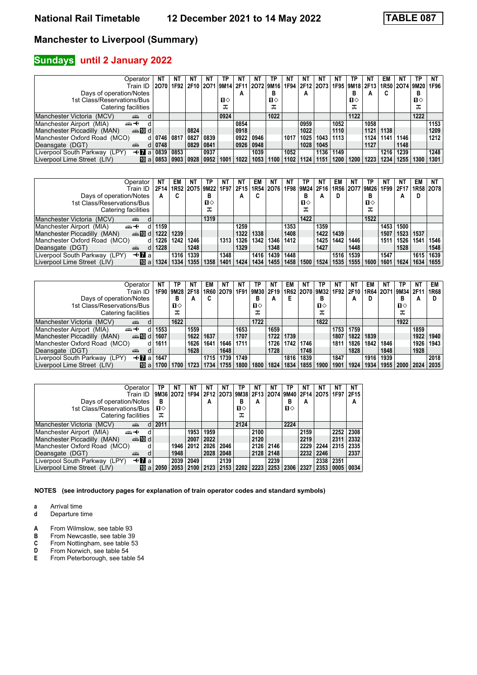### **Sundays** until 2 January 2022

| Operator                                     |                         | ΝT   | N1              | NΤ   | ΤP   | NT   | -N V                                              |      | ΝT   | N1   | N1   | NT   | ΤР             |      | EM   | ΝT                  | TP   | NT   |
|----------------------------------------------|-------------------------|------|-----------------|------|------|------|---------------------------------------------------|------|------|------|------|------|----------------|------|------|---------------------|------|------|
| Train ID                                     | 2070                    |      |                 |      |      |      | 1F92 2F10 2O71 9M14 2F11 2O72 9M16 1F94 2F12 2O73 |      |      |      |      |      | 1F95 9M18 2F13 |      |      | 1R50 2O74 9M20 1F96 |      |      |
| Days of operation/Notes                      |                         |      |                 |      |      | А    |                                                   | в    |      | A    |      |      | в              | A    | C    |                     | в    |      |
| 1st Class/Reservations/Bus                   |                         |      |                 |      | п⇔   |      |                                                   | п⇔   |      |      |      |      | $\mathbf{u}$   |      |      |                     | п⇔   |      |
| Catering facilities                          |                         |      |                 |      | ᅚ    |      |                                                   | ᠼ    |      |      |      |      | ᠼ              |      |      |                     | ᠼ    |      |
| Manchester Victoria (MCV)<br>щű              |                         |      |                 |      | 0924 |      |                                                   | 1022 |      |      |      |      | 1122           |      |      |                     | 1222 |      |
| Manchester Airport (MIA)<br>ക+               |                         |      |                 |      |      | 0854 |                                                   |      |      | 0959 |      | 1052 |                | 1058 |      |                     |      | 1153 |
| $\oplus$ 10 d<br>Manchester Piccadilly (MAN) |                         |      | 0824            |      |      | 0918 |                                                   |      |      | 1022 |      | 1110 |                | 1121 | 1138 |                     |      | 1209 |
| Manchester Oxford Road (MCO)                 | 0746 0817               |      | 0827            | 0839 |      | 0922 | 0946                                              |      | 1017 | 1025 | 1043 | 1113 |                | 1124 | 1141 | 1146                |      | 1212 |
| Deansgate (DGT)<br>d<br><b>ATT</b>           | 0748                    |      | 0829            | 0841 |      | 0926 | 0948                                              |      |      | 1028 | 1045 |      |                | 1127 |      | 1148                |      |      |
| <b>√Ma</b><br>Liverpool South Parkway (LPY)  | 0839                    | 0853 |                 | 0937 |      |      | 1039                                              |      | 1052 |      | 1136 | 1149 |                |      | 1216 | 1239                |      | 1248 |
| Liverpool Lime Street (LIV)                  | $\blacksquare$ a   0853 | 0903 | $^{\circ}$ 0928 | 0952 | 1001 | 1022 | 1053                                              | 1100 | 1102 | 1124 | 1151 | 1200 | 1200           | 1223 | 1234 | 1255.               | 1300 | 1301 |

| Operator                                        | NT   | EM   | N1   | TP.                                | NΤ   | NT.  | EM   | NT.  | ΝT   | ТP             | NT   | EM   | NT   | ΤР                  | NT.  | NT   | EM        | NT.  |
|-------------------------------------------------|------|------|------|------------------------------------|------|------|------|------|------|----------------|------|------|------|---------------------|------|------|-----------|------|
| Train ID                                        | 2F14 |      |      | 1R52 2075 9M22 1F97 2F15 1R54 2076 |      |      |      |      |      | 1F98 9M24 2F16 |      |      |      | 1R56 2O77 9M26 1F99 |      | 2F17 | 1R58 2078 |      |
| Days of operation/Notes                         | A    | C    |      | в                                  |      | А    |      |      |      | в              | А    | D    |      |                     |      | А    | D         |      |
| 1st Class/Reservations/Bus                      |      |      |      | п⇔                                 |      |      |      |      |      | п⇔             |      |      |      | п⇔                  |      |      |           |      |
| Catering facilities                             |      |      |      | ᠼ                                  |      |      |      |      |      | ᠼ              |      |      |      |                     |      |      |           |      |
| Manchester Victoria (MCV)<br>ain                |      |      |      | 1319                               |      |      |      |      |      | 1422           |      |      |      | 1522                |      |      |           |      |
| Manchester Airport (MIA)<br>ക+<br>d.            | 1159 |      |      |                                    |      | 1259 |      |      | 1353 |                | 1359 |      |      |                     | 1453 | 1500 |           |      |
| $\oplus$ 10 d<br>Manchester Piccadilly (MAN)    | 1222 | 1239 |      |                                    |      | 1322 | 1338 |      | 1408 |                | 1422 | 1439 |      |                     | 1507 | 1523 | 1537      |      |
| Manchester Oxford Road (MCO)<br>d               | 1226 | 1242 | 1246 |                                    | 1313 | 1326 | 1342 | 1346 | 1412 |                | 1425 | 1442 | 1446 |                     | 1511 | 1526 | 1541      | 1546 |
| Deansgate (DGT)<br>d<br>۵Ĥ                      | 1228 |      | 1248 |                                    |      | 1329 |      | 1348 |      |                | 1427 |      | 1448 |                     |      | 1528 |           | 1548 |
| <b>√Ma</b><br>Liverpool South Parkway (LPY)     |      | 1316 | 1339 |                                    | 1348 |      | 1416 | 1439 | 1448 |                |      | 1516 | 1539 |                     | 1547 |      | 1615      | 1639 |
| Liverpool Lime Street (LIV)<br>$\mathsf{m}$ all | 1324 | 1334 | 1355 | 1358                               | 1401 | 1424 | 1434 | 1455 | 1458 | 1500           | 1524 | 1535 | 1555 | 1600                | 1601 | 1624 | 1634      | 1655 |

| Operator<br>Train ID                                 | NΤ   | TP<br>1F90   9M28   2F18   1R60   2O79   1F91 | N1   | EM   | NΤ   | NΤ   | ΤP<br>9M30 2F19<br>в | NT.  | EM   | ΝT<br>1R62 2O70 9M32 | ТP           | NT   | NT<br>1F92   2F10 | EM<br>1R64 2071 | NT   | ΤP<br> 9M34 2F11 | NT   | EM<br>1R68 |
|------------------------------------------------------|------|-----------------------------------------------|------|------|------|------|----------------------|------|------|----------------------|--------------|------|-------------------|-----------------|------|------------------|------|------------|
| Days of operation/Notes                              |      | в                                             | А    | C    |      |      |                      | A    |      |                      | в            |      | А                 | D               |      | в                | A    |            |
| 1st Class/Reservations/Bus                           |      | п⇔                                            |      |      |      |      | $\Pi$                |      |      |                      | $\mathbf{u}$ |      |                   |                 |      | п⇔               |      |            |
| Catering facilities                                  |      | ᠼ                                             |      |      |      |      | ᠼ                    |      |      |                      | ᠼ            |      |                   |                 |      | ᠼ                |      |            |
| Manchester Victoria (MCV)<br>din 1                   |      | 1622                                          |      |      |      |      | 1722                 |      |      |                      | 1822         |      |                   |                 |      | 1922             |      |            |
| Manchester Airport (MIA)<br>安<br>d                   | 1553 |                                               | 1559 |      |      | 1653 |                      | 1659 |      |                      |              | 1753 | 1759              |                 |      |                  | 1859 |            |
| Manchester Piccadilly (MAN)<br>dilment di            | 1607 |                                               | 1622 | 1637 |      | 1707 |                      | 1722 | 1739 |                      |              | 1807 | 1822              | 1839            |      |                  | 1922 | 1940       |
| Manchester Oxford Road (MCO)<br>d.                   | 1611 |                                               | 1626 | 1641 | 1646 | 1711 |                      | 1726 | 1742 | 1746                 |              | 1811 | 1826              | 1842.           | 1846 |                  | 1926 | 1943       |
| Deansgate (DGT)<br>$\overline{a}$                    |      |                                               | 1628 |      | 1648 |      |                      | 1728 |      | 1748                 |              |      | 1828              |                 | 1848 |                  | 1928 |            |
| $+ \blacksquare$ al<br>Liverpool South Parkway (LPY) | 1647 |                                               |      | 1715 | 1739 | 1749 |                      |      | 1816 | 1839                 |              | 1847 |                   | 1916            | 1939 |                  |      | 2018       |
| 们 a<br>Liverpool Lime Street (LIV)                   | 1700 | 1700                                          | 1723 | 1734 | 1755 | 1800 | 1800                 | 1824 | 1834 | 1855                 | 1900         | 1901 | 1924              | 1934            | 1955 | 2000 2024        |      | 2035       |

| Operator                                             | ТР   | ΝT        | <b>NT</b> | ΝT   | NΤ   | ТР   | NΤ                                           | ΝT   | ТР   | NΤ   | ΝT        | ΝT   | NΤ   |
|------------------------------------------------------|------|-----------|-----------|------|------|------|----------------------------------------------|------|------|------|-----------|------|------|
| Train ID                                             |      | 9M36 2072 | 1F94      |      |      |      | 2F12 2O73 9M38 2F13 2O74 9M40 2F14 2O75 1F97 |      |      |      |           |      | 2F15 |
| Days of operation/Notes                              | в    |           |           | A    |      | в    | A                                            |      | в    | A    |           |      | A    |
| 1st Class/Reservations/Bus                           | п⇔   |           |           |      |      | п⇔   |                                              |      | п⇔   |      |           |      |      |
| Catering facilities                                  | ᠼ    |           |           |      |      | ᠼ    |                                              |      |      |      |           |      |      |
| Manchester Victoria (MCV)<br>پیشته<br>d              | 2011 |           |           |      |      | 2124 |                                              |      | 2224 |      |           |      |      |
| Manchester Airport (MIA)<br><del>∰ ∢</del><br>d      |      |           | 1953      | 1959 |      |      | 2100                                         |      |      | 2159 |           | 2252 | 2308 |
| d to the most<br>Manchester Piccadilly (MAN)         |      |           | 2007      | 2022 |      |      | 2120                                         |      |      | 2219 |           | 2311 | 2332 |
| Manchester Oxford Road (MCO)<br>d                    |      | 1946      | 2012      | 2026 | 2046 |      | 2126                                         | 2146 |      | 2229 | 2244      | 2315 | 2335 |
| Deansgate (DGT)<br>d<br>پېښتو                        |      | 1948      |           | 2028 | 2048 |      | 2128                                         | 2148 |      | 2232 | 2246      |      | 2337 |
| Liverpool South Parkway (LPY)<br>$\triangleleft$ 7 a |      | 2039      | 2049      |      | 2139 |      |                                              | 2239 |      |      | 2338 2351 |      |      |
| Liverpool Lime Street (LIV)<br>110 a                 | 2050 | 2053      | 2100      | 2123 | 2153 | 2202 | 2223                                         | 2253 | 2306 | 2327 | 2353      | 0005 | 0034 |

**NOTES (see introductory pages for explanation of train operator codes and standard symbols)**

**a** Arrival time<br>**d** Departure t

- 
- **A** From Wilmslow, see table 93<br>**B** From Newcastle, see table 39<br>**C** From Nottingham, see table 5 From Newcastle, see table 39
- **C** From Nottingham, see table 53<br>**D** From Norwich, see table 54
- **D** From Norwich, see table 54<br>**E** From Peterborough, see tab
- **From Peterborough, see table 54**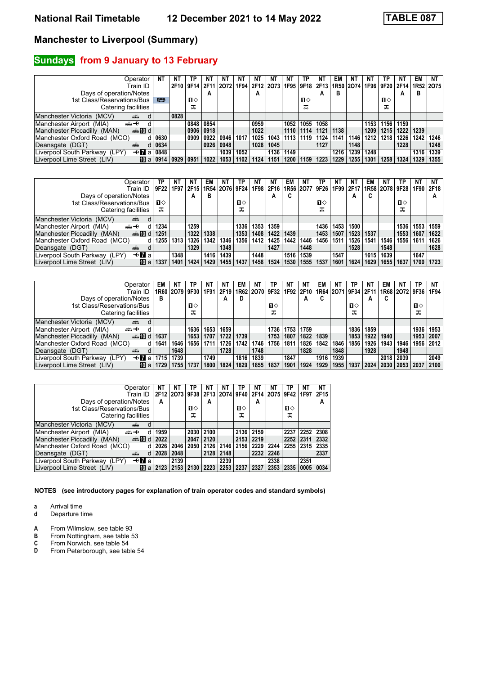### **Sundays from 9 January to 13 February**

| Operator                                     | NΤ           | ΝT   | ТP   | NΤ   | NT             | NT   | NT   | NT        | N1   | ТP           | NT                 | EM   | ΝI        | ΝI   | ΤP   |      | EM   | <b>NT</b>                |
|----------------------------------------------|--------------|------|------|------|----------------|------|------|-----------|------|--------------|--------------------|------|-----------|------|------|------|------|--------------------------|
| Train ID                                     |              | 2F10 | 9F14 |      | 2F11 2O72 1F94 |      |      | 2F12 2073 |      |              | 1F95   9F18   2F13 |      | 1R50 2074 |      |      |      |      | 1F96 9F20 2F14 1R52 2O75 |
| Days of operation/Notes                      |              |      |      | A    |                |      | А    |           |      |              | A                  | в    |           |      |      | A    | в    |                          |
| 1st Class/Reservations/Bus                   | 粤            |      | п⇔   |      |                |      |      |           |      | $\mathbf{n}$ |                    |      |           |      | п⇔   |      |      |                          |
| Catering facilities                          |              |      | ᠼ    |      |                |      |      |           |      | ᠼ            |                    |      |           |      | ᅚ    |      |      |                          |
| Manchester Victoria (MCV)<br>din 1<br>d      |              | 0828 |      |      |                |      |      |           |      |              |                    |      |           |      |      |      |      |                          |
| Manchester Airport (MIA)<br>⇜↞               |              |      | 0848 | 0854 |                |      | 0959 |           | 1052 | 1055         | 1058               |      |           | 1153 | 1156 | 1159 |      |                          |
| Manchester Piccadilly (MAN)<br>$\oplus$ 10 d |              |      | 0906 | 0918 |                |      | 1022 |           | 1110 | 1114         | 1121               | 1138 |           | 1209 | 1215 | 1222 | 1239 |                          |
| Manchester Oxford Road (MCO)                 | 0630         |      | 0909 | 0922 | 0946           | 1017 | 1025 | 1043      | 1113 | 1119         | 1124               | 1141 | 1146      | 1212 | 1218 | 1226 | 1242 | 1246                     |
| Deansgate (DGT)<br>۳Ŵ<br>d                   | 0634         |      |      | 0926 | 0948           |      | 1028 | 1045      |      |              | 1127               |      | 1148      |      |      | 1228 |      | 1248                     |
| —tral<br>Liverpool South Parkway (LPY)       | 0848         |      |      |      | 1039           | 1052 |      | 1136      | 1149 |              |                    | 1216 | 1239      | 1248 |      |      | 1316 | 1339                     |
| Liverpool Lime Street (LIV)                  | ii0 a l 0914 | 0929 | 0951 | 1022 | 1053           | 1102 | 1124 | 1151      | 1200 | 1159         | 1223               | 1229 | 1255      | 1301 | 1258 | 1324 | 1329 | 1355                     |

| Operator                                        | ΤP           | ΝT   | NT   | EM                        | NΤ   | ΤP          | NT   | NT.  | EM   | NΤ        | ТP   | NΤ   | NT        | EM   | NT             | ΤР     | <b>NT</b> | NΤ        |
|-------------------------------------------------|--------------|------|------|---------------------------|------|-------------|------|------|------|-----------|------|------|-----------|------|----------------|--------|-----------|-----------|
| Train ID                                        | 9F22         | 1F97 |      | 2F15   1R54   2O76   9F24 |      |             | 1F98 | 2F16 |      | 1R56 2077 | 9F26 |      | 1F99 2F17 |      | 1R58 2078 9F28 |        |           | 1F90 2F18 |
| Days of operation/Notes                         |              |      | А    | в                         |      |             |      | А    | C    |           |      |      | А         | u    |                |        |           |           |
| 1st Class/Reservations/Bus                      | $\mathbf{n}$ |      |      |                           |      | п⇔          |      |      |      |           | ப⇔   |      |           |      |                | п⇔     |           |           |
| Catering facilities                             | ᠼ            |      |      |                           |      | ᠼ           |      |      |      |           | ᠼ    |      |           |      |                | ᠼ      |           |           |
| Manchester Victoria (MCV)<br>پیشت               |              |      |      |                           |      |             |      |      |      |           |      |      |           |      |                |        |           |           |
| Manchester Airport (MIA)<br>                    | 1234         |      | 1259 |                           |      | 1336        | 1353 | 1359 |      |           | 1436 | 1453 | 1500      |      |                | 1536   | 1553      | 1559      |
| dilment di<br>Manchester Piccadilly (MAN)       | 1251         |      | 1322 | $ 1338\rangle$            |      | 1353        | 1408 | 1422 | 1439 |           | 1453 | 1507 | 1523      | 1537 |                | 1553   | 1607      | 1622      |
| Manchester Oxford Road (MCO)<br>d               | 1255         | 1313 | 1326 | 1342                      | 1346 | 1356        | 1412 | 1425 | 1442 | 1446      | 1456 | 1511 | 1526      | 1541 | 1546           | 1556 I | 1611      | 1626      |
| Deansgate (DGT)<br><b>ATT</b>                   |              |      | 1329 |                           | 1348 |             |      | 1427 |      | 1448      |      |      | 1528      |      | 1548           |        |           | 1628      |
| $+$ <b>7</b> a<br>Liverpool South Parkway (LPY) |              | 1348 |      | 1416                      | 1439 |             | 1448 |      | 1516 | 1539      |      | 1547 |           | 1615 | 1639           |        | 1647      |           |
| [而 al<br>Liverpool Lime Street (LIV)            | 1337         | 1401 | 1424 | 1429                      |      | 1455   1437 | 1458 | 1524 | 1530 | 1555      | 1537 | 1601 | 1624      | 1629 | 1655           | 1637   | 1700      | 1723      |

| Operator                                        | EM   | NT                 | ТP   | NΤ   | NT   | EM   | NT.            | ТP   | NT   | N1          | EM   | NT                        | ΤР   | N1   | EM   | NΤ             | TP   | NT             |
|-------------------------------------------------|------|--------------------|------|------|------|------|----------------|------|------|-------------|------|---------------------------|------|------|------|----------------|------|----------------|
| Train ID                                        |      | 1R60   2O79   9F30 |      | 1F91 | 2F19 |      | 1R62 2O70 9F32 |      |      | 1F92   2F10 |      | 1R64   2O71   9F34   2F11 |      |      |      | 1R68 2O72 9F36 |      | 1F94 I         |
| Days of operation/Notes                         | в    |                    |      |      | A    | D    |                |      |      | A           |      |                           |      | А    | C    |                |      |                |
| 1st Class/Reservations/Bus                      |      |                    | п⇔   |      |      |      |                | п⇔   |      |             |      |                           | ்ப   |      |      |                | ื่อ  |                |
| Catering facilities                             |      |                    |      |      |      |      |                | ᠼ    |      |             |      |                           | ᠼ    |      |      |                | ᠼ    |                |
| Manchester Victoria (MCV)<br>پیشته              |      |                    |      |      |      |      |                |      |      |             |      |                           |      |      |      |                |      |                |
| Manchester Airport (MIA)<br><del>∰ ∢</del><br>d |      |                    | 1636 | 1653 | 1659 |      |                | 1736 | 1753 | 1759        |      |                           | 1836 | 1859 |      |                | 1936 | 1953           |
| dilment di<br>Manchester Piccadilly (MAN)       | 1637 |                    | 1653 | 1707 | 1722 | 1739 |                | 1753 | 1807 | 1822        | 1839 |                           | 1853 | 1922 | 1940 |                | 1953 | 2007           |
| Manchester Oxford Road (MCO)<br>d l             | 1641 | 1646               | 1656 | 1711 | 1726 | 1742 | 1746           | 1756 | 1811 | 1826        | 1842 | 1846                      | 1856 | 1926 | 1943 | 1946           | 1956 | $ 2012\rangle$ |
| Deansgate (DGT)<br>۳ŵ<br>d                      |      | 1648               |      |      | 1728 |      | 1748           |      |      | 1828        |      | 1848                      |      | 1928 |      | 1948           |      |                |
| —tral<br>Liverpool South Parkway (LPY)          | 1715 | 1739               |      | 1749 |      | 1816 | 1839           |      | 1847 |             | 1916 | 1939                      |      |      | 2018 | 2039           |      | 2049           |
| Liverpool Lime Street (LIV)<br>$\mathbf{m}$ all |      | 1755               | 1737 | 1800 | 1824 | 1829 | 1855           | 1837 | 1901 | 1924        | 1929 | 1955                      | 1937 | 2024 | 2030 | 2053 2037      |      | 2100           |

| Operator<br>Train ID                            | NΤ<br>2F12 | ΝT<br>2073 | ТP<br>9F38 | ΝT<br>2F13 | ΝT<br>2074 | TP<br>9F40   | ΝT   | ΝT<br>2F14 2O75 9F42 | ТP   | ΝT<br>1F97 | NΤ<br>2F15     |
|-------------------------------------------------|------------|------------|------------|------------|------------|--------------|------|----------------------|------|------------|----------------|
| Days of operation/Notes                         | A          |            |            | A          |            |              | A    |                      |      |            | A              |
| 1st Class/Reservations/Bus                      |            |            | п⇔         |            |            | $\mathbf{u}$ |      |                      | п⇔   |            |                |
| Catering facilities                             |            |            | ᠼ          |            |            | ᠼ            |      |                      | ᠼ    |            |                |
| Manchester Victoria<br>(MCV)<br>d<br><b>ATT</b> |            |            |            |            |            |              |      |                      |      |            |                |
| Manchester Airport (MIA)<br>⇜↞<br>d             | 1959       |            | 2030       | 2100       |            | 2136         | 2159 |                      | 2237 | 2252       | 2308           |
| Manchester Piccadilly (MAN)<br>d≣ not           | 2022       |            | 2047       | 2120       |            | 2153         | 2219 |                      | 2252 | 2311       | $ 2332\rangle$ |
| Manchester Oxford Road (MCO)<br>d               | 2026       | 2046       | 2050       | 2126       | 2146       | 2156         | 2229 | 2244                 | 2255 | 2315       | 2335           |
| Deansgate (DGT)<br>d<br>æ                       | 2028       | 2048       |            | 2128       | 2148       |              | 2232 | 2246                 |      |            | 2337           |
| <b>⊣≁n</b> a<br>Liverpool South Parkway (LPY)   |            | 2139       |            |            | 2239       |              |      | 2338                 |      | 2351       |                |
| Liverpool Lime Street (LIV)<br>10<br>a          | 2123       | 2153       | 2130       | 2223       | 2253       | 2237         | 2327 | 2353                 | 2335 | 0005       | 0034           |

**NOTES (see introductory pages for explanation of train operator codes and standard symbols)**

**a** Arrival time<br>**d** Departure t **d** Departure time

- **A** From Wilmslow, see table 93<br>**B** From Nottingham, see table 5
- 
- **B** From Nottingham, see table 53<br>**C** From Norwich, see table 54<br>**D** From Peterborough, see table 5 From Norwich, see table 54
- From Peterborough, see table 54